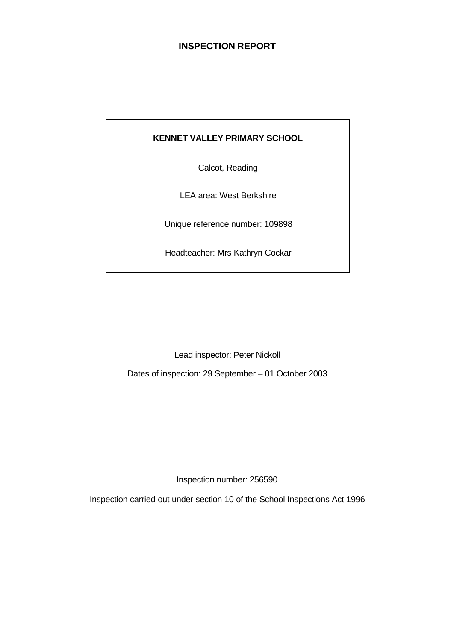# **INSPECTION REPORT**

# **KENNET VALLEY PRIMARY SCHOOL**

Calcot, Reading

LEA area: West Berkshire

Unique reference number: 109898

Headteacher: Mrs Kathryn Cockar

Lead inspector: Peter Nickoll

Dates of inspection: 29 September – 01 October 2003

Inspection number: 256590

Inspection carried out under section 10 of the School Inspections Act 1996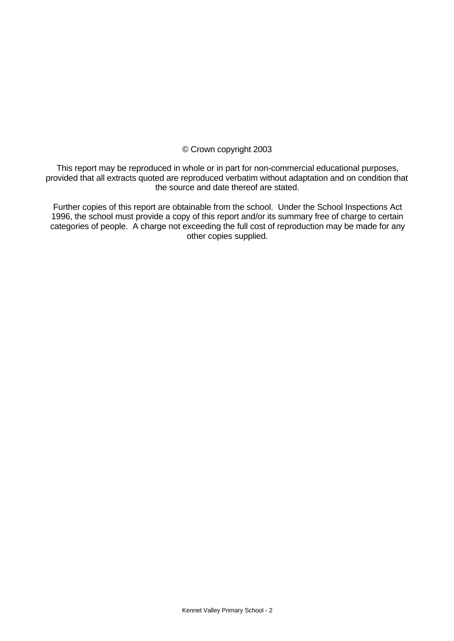# © Crown copyright 2003

This report may be reproduced in whole or in part for non-commercial educational purposes, provided that all extracts quoted are reproduced verbatim without adaptation and on condition that the source and date thereof are stated.

Further copies of this report are obtainable from the school. Under the School Inspections Act 1996, the school must provide a copy of this report and/or its summary free of charge to certain categories of people. A charge not exceeding the full cost of reproduction may be made for any other copies supplied.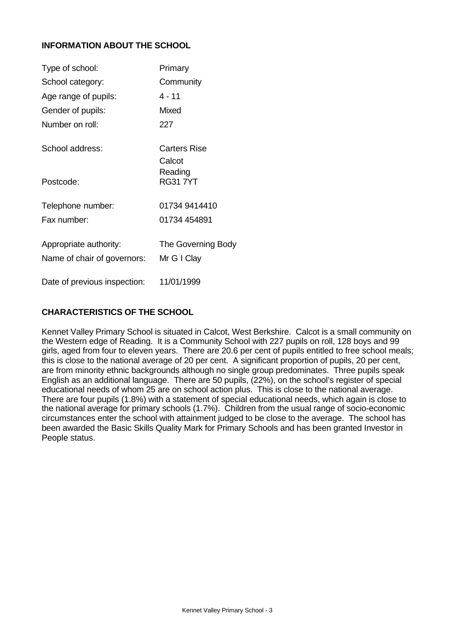# **INFORMATION ABOUT THE SCHOOL**

| Type of school:                                       | Primary                           |
|-------------------------------------------------------|-----------------------------------|
| School category:                                      | Community                         |
| Age range of pupils:                                  | 4 - 11                            |
| Gender of pupils:                                     | Mixed                             |
| Number on roll:                                       | 227                               |
| School address:                                       | <b>Carters Rise</b><br>Calcot     |
| Postcode:                                             | Reading<br><b>RG317YT</b>         |
| Telephone number:                                     | 01734 9414410                     |
| Fax number:                                           | 01734 454891                      |
| Appropriate authority:<br>Name of chair of governors: | The Governing Body<br>Mr G I Clay |
| Date of previous inspection:                          | 11/01/1999                        |

# **CHARACTERISTICS OF THE SCHOOL**

Kennet Valley Primary School is situated in Calcot, West Berkshire. Calcot is a small community on the Western edge of Reading. It is a Community School with 227 pupils on roll, 128 boys and 99 girls, aged from four to eleven years. There are 20.6 per cent of pupils entitled to free school meals; this is close to the national average of 20 per cent. A significant proportion of pupils, 20 per cent, are from minority ethnic backgrounds although no single group predominates. Three pupils speak English as an additional language. There are 50 pupils, (22%), on the school's register of special educational needs of whom 25 are on school action plus. This is close to the national average. There are four pupils (1.8%) with a statement of special educational needs, which again is close to the national average for primary schools (1.7%). Children from the usual range of socio-economic circumstances enter the school with attainment judged to be close to the average. The school has been awarded the Basic Skills Quality Mark for Primary Schools and has been granted Investor in People status.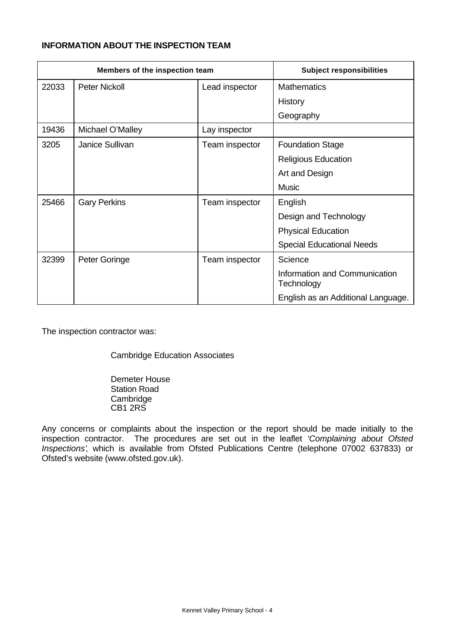# **INFORMATION ABOUT THE INSPECTION TEAM**

| Members of the inspection team |                      |                | <b>Subject responsibilities</b>             |
|--------------------------------|----------------------|----------------|---------------------------------------------|
| 22033                          | <b>Peter Nickoll</b> | Lead inspector | <b>Mathematics</b>                          |
|                                |                      |                | History                                     |
|                                |                      |                | Geography                                   |
| 19436                          | Michael O'Malley     | Lay inspector  |                                             |
| 3205                           | Janice Sullivan      | Team inspector | <b>Foundation Stage</b>                     |
|                                |                      |                | <b>Religious Education</b>                  |
|                                |                      |                | Art and Design                              |
|                                |                      |                | <b>Music</b>                                |
| 25466                          | <b>Gary Perkins</b>  | Team inspector | English                                     |
|                                |                      |                | Design and Technology                       |
|                                |                      |                | <b>Physical Education</b>                   |
|                                |                      |                | <b>Special Educational Needs</b>            |
| 32399                          | Peter Goringe        | Team inspector | Science                                     |
|                                |                      |                | Information and Communication<br>Technology |
|                                |                      |                | English as an Additional Language.          |

The inspection contractor was:

Cambridge Education Associates

Demeter House Station Road **Cambridge** CB1 2RS

Any concerns or complaints about the inspection or the report should be made initially to the inspection contractor. The procedures are set out in the leaflet *'Complaining about Ofsted Inspections'*, which is available from Ofsted Publications Centre (telephone 07002 637833) or Ofsted's website (www.ofsted.gov.uk).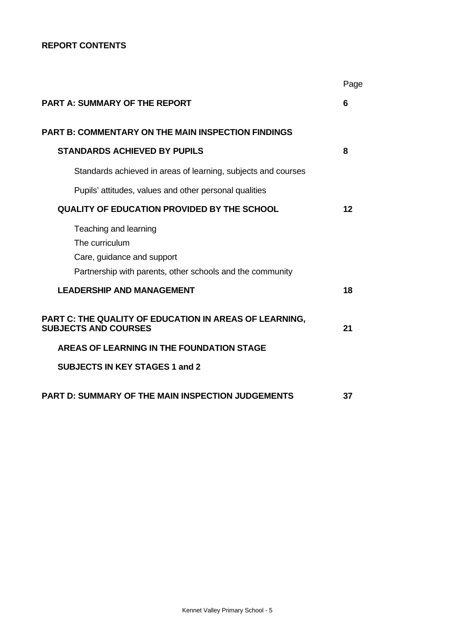# **REPORT CONTENTS**

|                                                                                                                                    | Page |
|------------------------------------------------------------------------------------------------------------------------------------|------|
| <b>PART A: SUMMARY OF THE REPORT</b>                                                                                               | 6    |
| <b>PART B: COMMENTARY ON THE MAIN INSPECTION FINDINGS</b>                                                                          |      |
| <b>STANDARDS ACHIEVED BY PUPILS</b>                                                                                                | 8    |
| Standards achieved in areas of learning, subjects and courses                                                                      |      |
| Pupils' attitudes, values and other personal qualities                                                                             |      |
| <b>QUALITY OF EDUCATION PROVIDED BY THE SCHOOL</b>                                                                                 | 12   |
| Teaching and learning<br>The curriculum<br>Care, guidance and support<br>Partnership with parents, other schools and the community |      |
| <b>LEADERSHIP AND MANAGEMENT</b>                                                                                                   | 18   |
| PART C: THE QUALITY OF EDUCATION IN AREAS OF LEARNING,<br><b>SUBJECTS AND COURSES</b>                                              | 21   |
| AREAS OF LEARNING IN THE FOUNDATION STAGE                                                                                          |      |
| <b>SUBJECTS IN KEY STAGES 1 and 2</b>                                                                                              |      |
| <b>PART D: SUMMARY OF THE MAIN INSPECTION JUDGEMENTS</b>                                                                           | 37   |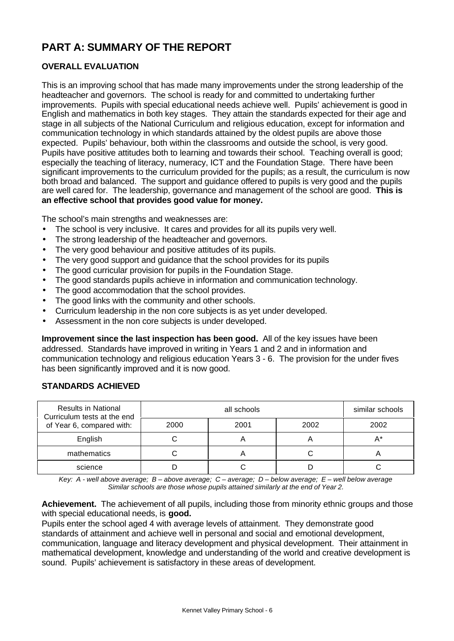# **PART A: SUMMARY OF THE REPORT**

# **OVERALL EVALUATION**

This is an improving school that has made many improvements under the strong leadership of the headteacher and governors. The school is ready for and committed to undertaking further improvements. Pupils with special educational needs achieve well. Pupils' achievement is good in English and mathematics in both key stages. They attain the standards expected for their age and stage in all subjects of the National Curriculum and religious education, except for information and communication technology in which standards attained by the oldest pupils are above those expected. Pupils' behaviour, both within the classrooms and outside the school, is very good. Pupils have positive attitudes both to learning and towards their school. Teaching overall is good; especially the teaching of literacy, numeracy, ICT and the Foundation Stage. There have been significant improvements to the curriculum provided for the pupils; as a result, the curriculum is now both broad and balanced. The support and guidance offered to pupils is very good and the pupils are well cared for. The leadership, governance and management of the school are good. **This is an effective school that provides good value for money.**

The school's main strengths and weaknesses are:

- The school is very inclusive. It cares and provides for all its pupils very well.
- The strong leadership of the headteacher and governors.
- The very good behaviour and positive attitudes of its pupils.
- The very good support and guidance that the school provides for its pupils
- The good curricular provision for pupils in the Foundation Stage.
- The good standards pupils achieve in information and communication technology.
- The good accommodation that the school provides.
- The good links with the community and other schools.
- Curriculum leadership in the non core subjects is as yet under developed.
- Assessment in the non core subjects is under developed.

**Improvement since the last inspection has been good.** All of the key issues have been addressed. Standards have improved in writing in Years 1 and 2 and in information and communication technology and religious education Years 3 - 6. The provision for the under fives has been significantly improved and it is now good.

| <b>Results in National</b><br>Curriculum tests at the end |      | similar schools |      |      |
|-----------------------------------------------------------|------|-----------------|------|------|
| of Year 6, compared with:                                 | 2000 | 2001            | 2002 | 2002 |
| English                                                   |      |                 |      | A*   |
| mathematics                                               |      |                 |      |      |
| science                                                   |      |                 |      |      |

# **STANDARDS ACHIEVED**

*Key: A - well above average; B – above average; C – average; D – below average; E – well below average Similar schools are those whose pupils attained similarly at the end of Year 2.*

**Achievement.** The achievement of all pupils, including those from minority ethnic groups and those with special educational needs, is **good.**

Pupils enter the school aged 4 with average levels of attainment. They demonstrate good standards of attainment and achieve well in personal and social and emotional development, communication, language and literacy development and physical development. Their attainment in mathematical development, knowledge and understanding of the world and creative development is sound. Pupils' achievement is satisfactory in these areas of development.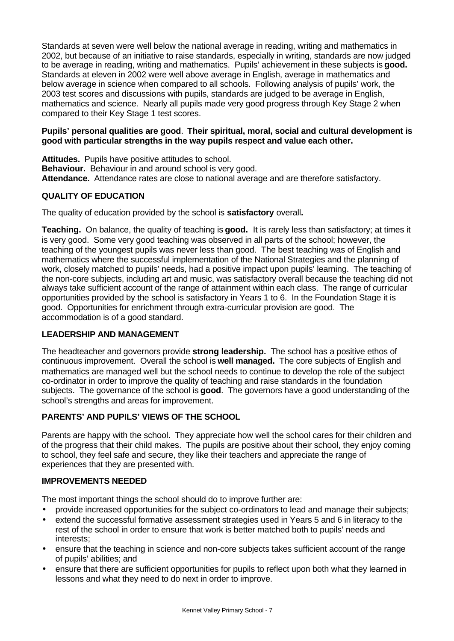Standards at seven were well below the national average in reading, writing and mathematics in 2002, but because of an initiative to raise standards, especially in writing, standards are now judged to be average in reading, writing and mathematics. Pupils' achievement in these subjects is **good.** Standards at eleven in 2002 were well above average in English, average in mathematics and below average in science when compared to all schools. Following analysis of pupils' work, the 2003 test scores and discussions with pupils, standards are judged to be average in English, mathematics and science. Nearly all pupils made very good progress through Key Stage 2 when compared to their Key Stage 1 test scores.

# **Pupils' personal qualities are good**. **Their spiritual, moral, social and cultural development is good with particular strengths in the way pupils respect and value each other.**

**Attitudes.** Pupils have positive attitudes to school. **Behaviour.** Behaviour in and around school is very good. **Attendance.** Attendance rates are close to national average and are therefore satisfactory.

# **QUALITY OF EDUCATION**

The quality of education provided by the school is **satisfactory** overall**.**

**Teaching.** On balance, the quality of teaching is **good.** It is rarely less than satisfactory; at times it is very good. Some very good teaching was observed in all parts of the school; however, the teaching of the youngest pupils was never less than good. The best teaching was of English and mathematics where the successful implementation of the National Strategies and the planning of work, closely matched to pupils' needs, had a positive impact upon pupils' learning. The teaching of the non-core subjects, including art and music, was satisfactory overall because the teaching did not always take sufficient account of the range of attainment within each class. The range of curricular opportunities provided by the school is satisfactory in Years 1 to 6. In the Foundation Stage it is good. Opportunities for enrichment through extra-curricular provision are good. The accommodation is of a good standard.

# **LEADERSHIP AND MANAGEMENT**

The headteacher and governors provide **strong leadership.** The school has a positive ethos of continuous improvement. Overall the school is **well managed.** The core subjects of English and mathematics are managed well but the school needs to continue to develop the role of the subject co-ordinator in order to improve the quality of teaching and raise standards in the foundation subjects. The governance of the school is **good**. The governors have a good understanding of the school's strengths and areas for improvement.

# **PARENTS' AND PUPILS' VIEWS OF THE SCHOOL**

Parents are happy with the school. They appreciate how well the school cares for their children and of the progress that their child makes. The pupils are positive about their school, they enjoy coming to school, they feel safe and secure, they like their teachers and appreciate the range of experiences that they are presented with.

# **IMPROVEMENTS NEEDED**

The most important things the school should do to improve further are:

- provide increased opportunities for the subject co-ordinators to lead and manage their subjects;
- extend the successful formative assessment strategies used in Years 5 and 6 in literacy to the rest of the school in order to ensure that work is better matched both to pupils' needs and interests;
- ensure that the teaching in science and non-core subjects takes sufficient account of the range of pupils' abilities; and
- ensure that there are sufficient opportunities for pupils to reflect upon both what they learned in lessons and what they need to do next in order to improve.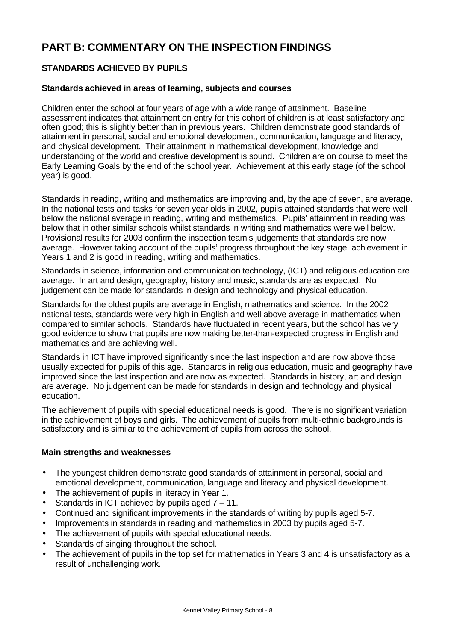# **PART B: COMMENTARY ON THE INSPECTION FINDINGS**

# **STANDARDS ACHIEVED BY PUPILS**

# **Standards achieved in areas of learning, subjects and courses**

Children enter the school at four years of age with a wide range of attainment. Baseline assessment indicates that attainment on entry for this cohort of children is at least satisfactory and often good; this is slightly better than in previous years. Children demonstrate good standards of attainment in personal, social and emotional development, communication, language and literacy, and physical development. Their attainment in mathematical development, knowledge and understanding of the world and creative development is sound. Children are on course to meet the Early Learning Goals by the end of the school year. Achievement at this early stage (of the school year) is good.

Standards in reading, writing and mathematics are improving and, by the age of seven, are average. In the national tests and tasks for seven year olds in 2002, pupils attained standards that were well below the national average in reading, writing and mathematics. Pupils' attainment in reading was below that in other similar schools whilst standards in writing and mathematics were well below. Provisional results for 2003 confirm the inspection team's judgements that standards are now average. However taking account of the pupils' progress throughout the key stage, achievement in Years 1 and 2 is good in reading, writing and mathematics.

Standards in science, information and communication technology, (ICT) and religious education are average. In art and design, geography, history and music, standards are as expected. No judgement can be made for standards in design and technology and physical education.

Standards for the oldest pupils are average in English, mathematics and science. In the 2002 national tests, standards were very high in English and well above average in mathematics when compared to similar schools. Standards have fluctuated in recent years, but the school has very good evidence to show that pupils are now making better-than-expected progress in English and mathematics and are achieving well.

Standards in ICT have improved significantly since the last inspection and are now above those usually expected for pupils of this age. Standards in religious education, music and geography have improved since the last inspection and are now as expected. Standards in history, art and design are average. No judgement can be made for standards in design and technology and physical education.

The achievement of pupils with special educational needs is good. There is no significant variation in the achievement of boys and girls. The achievement of pupils from multi-ethnic backgrounds is satisfactory and is similar to the achievement of pupils from across the school.

# **Main strengths and weaknesses**

- The youngest children demonstrate good standards of attainment in personal, social and emotional development, communication, language and literacy and physical development.
- The achievement of pupils in literacy in Year 1.
- Standards in ICT achieved by pupils aged  $7 11$ .
- Continued and significant improvements in the standards of writing by pupils aged 5-7.
- Improvements in standards in reading and mathematics in 2003 by pupils aged 5-7.
- The achievement of pupils with special educational needs.
- Standards of singing throughout the school.
- The achievement of pupils in the top set for mathematics in Years 3 and 4 is unsatisfactory as a result of unchallenging work.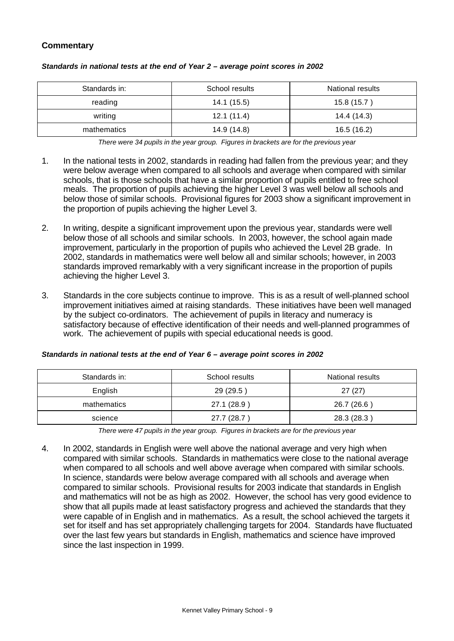# **Commentary**

| Standards in: | School results | <b>National results</b> |  |
|---------------|----------------|-------------------------|--|
| reading       | 14.1 (15.5)    | 15.8 (15.7)             |  |
| writing       | 12.1(11.4)     | 14.4 (14.3)             |  |
| mathematics   | 14.9 (14.8)    | 16.5 (16.2)             |  |

#### *Standards in national tests at the end of Year 2 – average point scores in 2002*

*There were 34 pupils in the year group. Figures in brackets are for the previous year*

- 1. In the national tests in 2002, standards in reading had fallen from the previous year; and they were below average when compared to all schools and average when compared with similar schools, that is those schools that have a similar proportion of pupils entitled to free school meals. The proportion of pupils achieving the higher Level 3 was well below all schools and below those of similar schools. Provisional figures for 2003 show a significant improvement in the proportion of pupils achieving the higher Level 3.
- 2. In writing, despite a significant improvement upon the previous year, standards were well below those of all schools and similar schools. In 2003, however, the school again made improvement, particularly in the proportion of pupils who achieved the Level 2B grade. In 2002, standards in mathematics were well below all and similar schools; however, in 2003 standards improved remarkably with a very significant increase in the proportion of pupils achieving the higher Level 3.
- 3. Standards in the core subjects continue to improve. This is as a result of well-planned school improvement initiatives aimed at raising standards. These initiatives have been well managed by the subject co-ordinators. The achievement of pupils in literacy and numeracy is satisfactory because of effective identification of their needs and well-planned programmes of work. The achievement of pupils with special educational needs is good.

| Standards in: | School results | National results |  |
|---------------|----------------|------------------|--|
| English       | 29 (29.5)      | 27(27)           |  |
| mathematics   | 27.1 (28.9 )   | 26.7 (26.6)      |  |
| science       | 27.7 (28.7)    | 28.3 (28.3)      |  |

#### *Standards in national tests at the end of Year 6 – average point scores in 2002*

*There were 47 pupils in the year group. Figures in brackets are for the previous year*

4. In 2002, standards in English were well above the national average and very high when compared with similar schools. Standards in mathematics were close to the national average when compared to all schools and well above average when compared with similar schools. In science, standards were below average compared with all schools and average when compared to similar schools. Provisional results for 2003 indicate that standards in English and mathematics will not be as high as 2002. However, the school has very good evidence to show that all pupils made at least satisfactory progress and achieved the standards that they were capable of in English and in mathematics. As a result, the school achieved the targets it set for itself and has set appropriately challenging targets for 2004. Standards have fluctuated over the last few years but standards in English, mathematics and science have improved since the last inspection in 1999.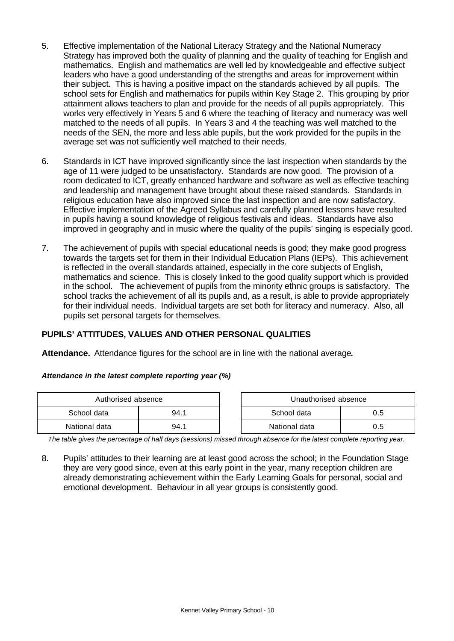- 5. Effective implementation of the National Literacy Strategy and the National Numeracy Strategy has improved both the quality of planning and the quality of teaching for English and mathematics. English and mathematics are well led by knowledgeable and effective subject leaders who have a good understanding of the strengths and areas for improvement within their subject. This is having a positive impact on the standards achieved by all pupils. The school sets for English and mathematics for pupils within Key Stage 2. This grouping by prior attainment allows teachers to plan and provide for the needs of all pupils appropriately. This works very effectively in Years 5 and 6 where the teaching of literacy and numeracy was well matched to the needs of all pupils. In Years 3 and 4 the teaching was well matched to the needs of the SEN, the more and less able pupils, but the work provided for the pupils in the average set was not sufficiently well matched to their needs.
- 6. Standards in ICT have improved significantly since the last inspection when standards by the age of 11 were judged to be unsatisfactory. Standards are now good. The provision of a room dedicated to ICT, greatly enhanced hardware and software as well as effective teaching and leadership and management have brought about these raised standards. Standards in religious education have also improved since the last inspection and are now satisfactory. Effective implementation of the Agreed Syllabus and carefully planned lessons have resulted in pupils having a sound knowledge of religious festivals and ideas. Standards have also improved in geography and in music where the quality of the pupils' singing is especially good.
- 7. The achievement of pupils with special educational needs is good; they make good progress towards the targets set for them in their Individual Education Plans (IEPs). This achievement is reflected in the overall standards attained, especially in the core subjects of English, mathematics and science. This is closely linked to the good quality support which is provided in the school. The achievement of pupils from the minority ethnic groups is satisfactory. The school tracks the achievement of all its pupils and, as a result, is able to provide appropriately for their individual needs. Individual targets are set both for literacy and numeracy. Also, all pupils set personal targets for themselves.

# **PUPILS' ATTITUDES, VALUES AND OTHER PERSONAL QUALITIES**

**Attendance.** Attendance figures for the school are in line with the national average**.**

#### *Attendance in the latest complete reporting year (%)*

| Authorised absence |      |  | Unauthorised absence |     |  |
|--------------------|------|--|----------------------|-----|--|
| School data        | 94.1 |  | School data<br>0.5   |     |  |
| National data      | 94.1 |  | National data        | 0.5 |  |

*The table gives the percentage of half days (sessions) missed through absence for the latest complete reporting year.*

8. Pupils' attitudes to their learning are at least good across the school; in the Foundation Stage they are very good since, even at this early point in the year, many reception children are already demonstrating achievement within the Early Learning Goals for personal, social and emotional development. Behaviour in all year groups is consistently good.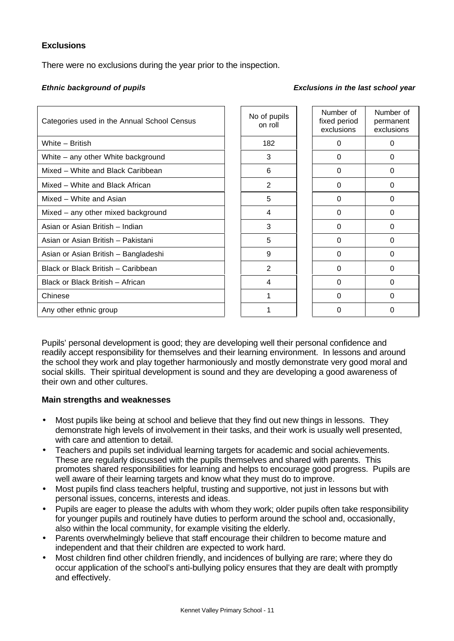# **Exclusions**

There were no exclusions during the year prior to the inspection.

# *Ethnic background of pupils Exclusions in the last school year*

| Categories used in the Annual School Census | No of pupils<br>on roll | Number of<br>fixed period<br>exclusions | Numb<br>perma<br>exclus |
|---------------------------------------------|-------------------------|-----------------------------------------|-------------------------|
| White – British                             | 182                     | 0                                       | 0                       |
| White – any other White background          | 3                       | $\Omega$                                | 0                       |
| Mixed - White and Black Caribbean           | 6                       | 0                                       | 0                       |
| Mixed – White and Black African             | 2                       | $\Omega$                                | $\Omega$                |
| Mixed – White and Asian                     | 5                       | 0                                       | 0                       |
| Mixed - any other mixed background          | 4                       | $\Omega$                                | 0                       |
| Asian or Asian British - Indian             | 3                       | 0                                       | 0                       |
| Asian or Asian British - Pakistani          | 5                       | 0                                       | 0                       |
| Asian or Asian British - Bangladeshi        | 9                       | 0                                       | 0                       |
| Black or Black British - Caribbean          | 2                       | $\Omega$                                | $\Omega$                |
| Black or Black British - African            | 4                       | 0                                       | 0                       |
| Chinese                                     | 1                       | $\Omega$                                | $\Omega$                |
| Any other ethnic group                      | 1                       | 0                                       | 0                       |
|                                             |                         |                                         |                         |

| of pupils<br>on roll | Number of<br>fixed period<br>exclusions | Number of<br>permanent<br>exclusions |
|----------------------|-----------------------------------------|--------------------------------------|
| 182                  | 0                                       | 0                                    |
| 3                    | 0                                       | 0                                    |
| 6                    | 0                                       | 0                                    |
| $\overline{2}$       | 0                                       | 0                                    |
| 5                    | 0                                       | 0                                    |
| 4                    | 0                                       | 0                                    |
| 3                    | 0                                       | 0                                    |
| 5                    | 0                                       | 0                                    |
| 9                    | 0                                       | 0                                    |
| 2                    | 0                                       | 0                                    |
| 4                    | 0                                       | 0                                    |
| 1                    | 0                                       | 0                                    |
| 1                    | 0                                       | 0                                    |

Pupils' personal development is good; they are developing well their personal confidence and readily accept responsibility for themselves and their learning environment. In lessons and around the school they work and play together harmoniously and mostly demonstrate very good moral and social skills. Their spiritual development is sound and they are developing a good awareness of their own and other cultures.

# **Main strengths and weaknesses**

- Most pupils like being at school and believe that they find out new things in lessons. They demonstrate high levels of involvement in their tasks, and their work is usually well presented, with care and attention to detail.
- Teachers and pupils set individual learning targets for academic and social achievements. These are regularly discussed with the pupils themselves and shared with parents. This promotes shared responsibilities for learning and helps to encourage good progress. Pupils are well aware of their learning targets and know what they must do to improve.
- Most pupils find class teachers helpful, trusting and supportive, not just in lessons but with personal issues, concerns, interests and ideas.
- Pupils are eager to please the adults with whom they work; older pupils often take responsibility for younger pupils and routinely have duties to perform around the school and, occasionally, also within the local community, for example visiting the elderly.
- Parents overwhelmingly believe that staff encourage their children to become mature and independent and that their children are expected to work hard.
- Most children find other children friendly, and incidences of bullying are rare; where they do occur application of the school's anti-bullying policy ensures that they are dealt with promptly and effectively.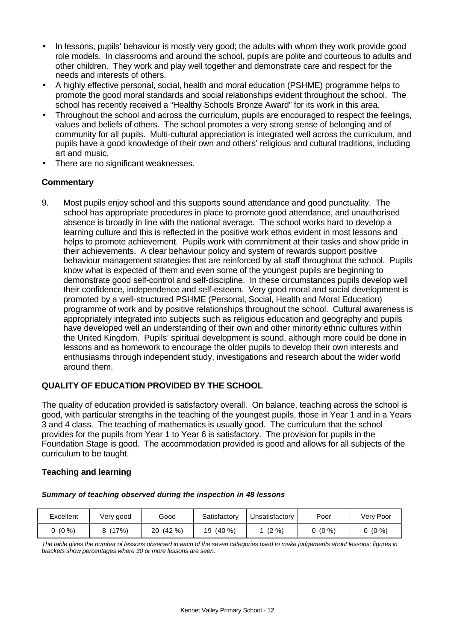- In lessons, pupils' behaviour is mostly very good; the adults with whom they work provide good role models. In classrooms and around the school, pupils are polite and courteous to adults and other children. They work and play well together and demonstrate care and respect for the needs and interests of others.
- A highly effective personal, social, health and moral education (PSHME) programme helps to promote the good moral standards and social relationships evident throughout the school. The school has recently received a "Healthy Schools Bronze Award" for its work in this area.
- Throughout the school and across the curriculum, pupils are encouraged to respect the feelings, values and beliefs of others. The school promotes a very strong sense of belonging and of community for all pupils. Multi-cultural appreciation is integrated well across the curriculum, and pupils have a good knowledge of their own and others' religious and cultural traditions, including art and music.
- There are no significant weaknesses.

# **Commentary**

9. Most pupils enjoy school and this supports sound attendance and good punctuality. The school has appropriate procedures in place to promote good attendance, and unauthorised absence is broadly in line with the national average. The school works hard to develop a learning culture and this is reflected in the positive work ethos evident in most lessons and helps to promote achievement. Pupils work with commitment at their tasks and show pride in their achievements. A clear behaviour policy and system of rewards support positive behaviour management strategies that are reinforced by all staff throughout the school. Pupils know what is expected of them and even some of the youngest pupils are beginning to demonstrate good self-control and self-discipline. In these circumstances pupils develop well their confidence, independence and self-esteem. Very good moral and social development is promoted by a well-structured PSHME (Personal, Social, Health and Moral Education) programme of work and by positive relationships throughout the school. Cultural awareness is appropriately integrated into subjects such as religious education and geography and pupils have developed well an understanding of their own and other minority ethnic cultures within the United Kingdom. Pupils' spiritual development is sound, although more could be done in lessons and as homework to encourage the older pupils to develop their own interests and enthusiasms through independent study, investigations and research about the wider world around them.

# **QUALITY OF EDUCATION PROVIDED BY THE SCHOOL**

The quality of education provided is satisfactory overall. On balance, teaching across the school is good, with particular strengths in the teaching of the youngest pupils, those in Year 1 and in a Years 3 and 4 class. The teaching of mathematics is usually good. The curriculum that the school provides for the pupils from Year 1 to Year 6 is satisfactory. The provision for pupils in the Foundation Stage is good. The accommodation provided is good and allows for all subjects of the curriculum to be taught.

# **Teaching and learning**

| Excellent | Very good | Good        | Satisfactory    | Unsatisfactory | Poor     | Very Poor |
|-----------|-----------|-------------|-----------------|----------------|----------|-----------|
| $(0\% )$  | (17%)     | (42%)<br>20 | $(40\% )$<br>19 | $(2\% )$       | $(0\% )$ | $(0\% )$  |

#### *Summary of teaching observed during the inspection in 48 lessons*

*The table gives the number of lessons observed in each of the seven categories used to make judgements about lessons; figures in brackets show percentages where 30 or more lessons are seen.*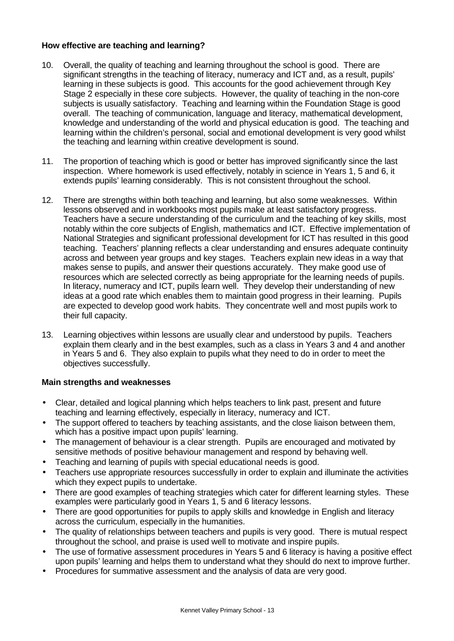# **How effective are teaching and learning?**

- 10. Overall, the quality of teaching and learning throughout the school is good. There are significant strengths in the teaching of literacy, numeracy and ICT and, as a result, pupils' learning in these subjects is good. This accounts for the good achievement through Key Stage 2 especially in these core subjects. However, the quality of teaching in the non-core subjects is usually satisfactory. Teaching and learning within the Foundation Stage is good overall. The teaching of communication, language and literacy, mathematical development, knowledge and understanding of the world and physical education is good. The teaching and learning within the children's personal, social and emotional development is very good whilst the teaching and learning within creative development is sound.
- 11. The proportion of teaching which is good or better has improved significantly since the last inspection. Where homework is used effectively, notably in science in Years 1, 5 and 6, it extends pupils' learning considerably. This is not consistent throughout the school.
- 12. There are strengths within both teaching and learning, but also some weaknesses. Within lessons observed and in workbooks most pupils make at least satisfactory progress. Teachers have a secure understanding of the curriculum and the teaching of key skills, most notably within the core subjects of English, mathematics and ICT. Effective implementation of National Strategies and significant professional development for ICT has resulted in this good teaching. Teachers' planning reflects a clear understanding and ensures adequate continuity across and between year groups and key stages. Teachers explain new ideas in a way that makes sense to pupils, and answer their questions accurately. They make good use of resources which are selected correctly as being appropriate for the learning needs of pupils. In literacy, numeracy and ICT, pupils learn well. They develop their understanding of new ideas at a good rate which enables them to maintain good progress in their learning. Pupils are expected to develop good work habits. They concentrate well and most pupils work to their full capacity.
- 13. Learning objectives within lessons are usually clear and understood by pupils. Teachers explain them clearly and in the best examples, such as a class in Years 3 and 4 and another in Years 5 and 6. They also explain to pupils what they need to do in order to meet the objectives successfully.

# **Main strengths and weaknesses**

- Clear, detailed and logical planning which helps teachers to link past, present and future teaching and learning effectively, especially in literacy, numeracy and ICT.
- The support offered to teachers by teaching assistants, and the close liaison between them, which has a positive impact upon pupils' learning.
- The management of behaviour is a clear strength. Pupils are encouraged and motivated by sensitive methods of positive behaviour management and respond by behaving well.
- Teaching and learning of pupils with special educational needs is good.
- Teachers use appropriate resources successfully in order to explain and illuminate the activities which they expect pupils to undertake.
- There are good examples of teaching strategies which cater for different learning styles. These examples were particularly good in Years 1, 5 and 6 literacy lessons.
- There are good opportunities for pupils to apply skills and knowledge in English and literacy across the curriculum, especially in the humanities.
- The quality of relationships between teachers and pupils is very good. There is mutual respect throughout the school, and praise is used well to motivate and inspire pupils.
- The use of formative assessment procedures in Years 5 and 6 literacy is having a positive effect upon pupils' learning and helps them to understand what they should do next to improve further.
- Procedures for summative assessment and the analysis of data are very good.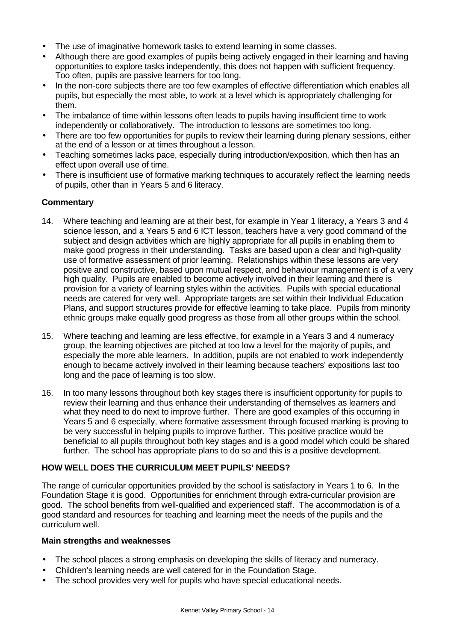- The use of imaginative homework tasks to extend learning in some classes.
- Although there are good examples of pupils being actively engaged in their learning and having opportunities to explore tasks independently, this does not happen with sufficient frequency. Too often, pupils are passive learners for too long.
- In the non-core subjects there are too few examples of effective differentiation which enables all pupils, but especially the most able, to work at a level which is appropriately challenging for them.
- The imbalance of time within lessons often leads to pupils having insufficient time to work independently or collaboratively. The introduction to lessons are sometimes too long.
- There are too few opportunities for pupils to review their learning during plenary sessions, either at the end of a lesson or at times throughout a lesson.
- Teaching sometimes lacks pace, especially during introduction/exposition, which then has an effect upon overall use of time.
- There is insufficient use of formative marking techniques to accurately reflect the learning needs of pupils, other than in Years 5 and 6 literacy.

# **Commentary**

- 14. Where teaching and learning are at their best, for example in Year 1 literacy, a Years 3 and 4 science lesson, and a Years 5 and 6 ICT lesson, teachers have a very good command of the subject and design activities which are highly appropriate for all pupils in enabling them to make good progress in their understanding. Tasks are based upon a clear and high-quality use of formative assessment of prior learning. Relationships within these lessons are very positive and constructive, based upon mutual respect, and behaviour management is of a very high quality. Pupils are enabled to become actively involved in their learning and there is provision for a variety of learning styles within the activities. Pupils with special educational needs are catered for very well. Appropriate targets are set within their Individual Education Plans, and support structures provide for effective learning to take place. Pupils from minority ethnic groups make equally good progress as those from all other groups within the school.
- 15. Where teaching and learning are less effective, for example in a Years 3 and 4 numeracy group, the learning objectives are pitched at too low a level for the majority of pupils, and especially the more able learners. In addition, pupils are not enabled to work independently enough to became actively involved in their learning because teachers' expositions last too long and the pace of learning is too slow.
- 16. In too many lessons throughout both key stages there is insufficient opportunity for pupils to review their learning and thus enhance their understanding of themselves as learners and what they need to do next to improve further. There are good examples of this occurring in Years 5 and 6 especially, where formative assessment through focused marking is proving to be very successful in helping pupils to improve further. This positive practice would be beneficial to all pupils throughout both key stages and is a good model which could be shared further. The school has appropriate plans to do so and this is a positive development.

# **HOW WELL DOES THE CURRICULUM MEET PUPILS' NEEDS?**

The range of curricular opportunities provided by the school is satisfactory in Years 1 to 6. In the Foundation Stage it is good. Opportunities for enrichment through extra-curricular provision are good. The school benefits from well-qualified and experienced staff. The accommodation is of a good standard and resources for teaching and learning meet the needs of the pupils and the curriculum well.

# **Main strengths and weaknesses**

- The school places a strong emphasis on developing the skills of literacy and numeracy.
- Children's learning needs are well catered for in the Foundation Stage.
- The school provides very well for pupils who have special educational needs.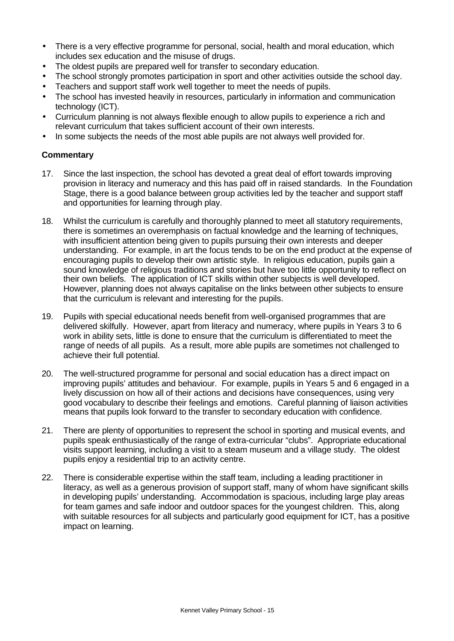- There is a very effective programme for personal, social, health and moral education, which includes sex education and the misuse of drugs.
- The oldest pupils are prepared well for transfer to secondary education.
- The school strongly promotes participation in sport and other activities outside the school day.
- Teachers and support staff work well together to meet the needs of pupils.
- The school has invested heavily in resources, particularly in information and communication technology (ICT).
- Curriculum planning is not always flexible enough to allow pupils to experience a rich and relevant curriculum that takes sufficient account of their own interests.
- In some subjects the needs of the most able pupils are not always well provided for.

- 17. Since the last inspection, the school has devoted a great deal of effort towards improving provision in literacy and numeracy and this has paid off in raised standards. In the Foundation Stage, there is a good balance between group activities led by the teacher and support staff and opportunities for learning through play.
- 18. Whilst the curriculum is carefully and thoroughly planned to meet all statutory requirements, there is sometimes an overemphasis on factual knowledge and the learning of techniques, with insufficient attention being given to pupils pursuing their own interests and deeper understanding. For example, in art the focus tends to be on the end product at the expense of encouraging pupils to develop their own artistic style. In religious education, pupils gain a sound knowledge of religious traditions and stories but have too little opportunity to reflect on their own beliefs. The application of ICT skills within other subjects is well developed. However, planning does not always capitalise on the links between other subjects to ensure that the curriculum is relevant and interesting for the pupils.
- 19. Pupils with special educational needs benefit from well-organised programmes that are delivered skilfully. However, apart from literacy and numeracy, where pupils in Years 3 to 6 work in ability sets, little is done to ensure that the curriculum is differentiated to meet the range of needs of all pupils. As a result, more able pupils are sometimes not challenged to achieve their full potential.
- 20. The well-structured programme for personal and social education has a direct impact on improving pupils' attitudes and behaviour. For example, pupils in Years 5 and 6 engaged in a lively discussion on how all of their actions and decisions have consequences, using very good vocabulary to describe their feelings and emotions. Careful planning of liaison activities means that pupils look forward to the transfer to secondary education with confidence.
- 21. There are plenty of opportunities to represent the school in sporting and musical events, and pupils speak enthusiastically of the range of extra-curricular "clubs". Appropriate educational visits support learning, including a visit to a steam museum and a village study. The oldest pupils enjoy a residential trip to an activity centre.
- 22. There is considerable expertise within the staff team, including a leading practitioner in literacy, as well as a generous provision of support staff, many of whom have significant skills in developing pupils' understanding. Accommodation is spacious, including large play areas for team games and safe indoor and outdoor spaces for the youngest children. This, along with suitable resources for all subjects and particularly good equipment for ICT, has a positive impact on learning.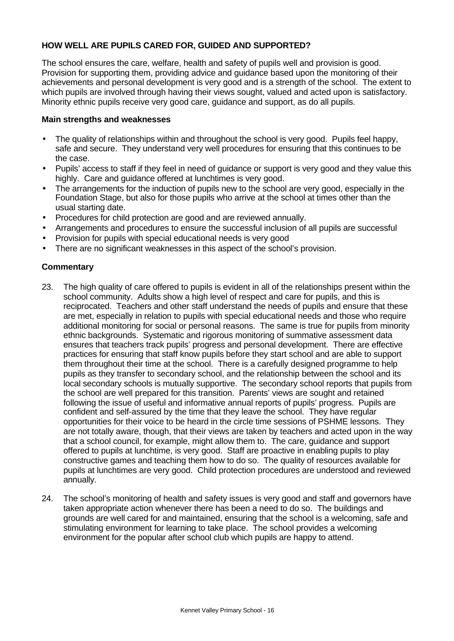# **HOW WELL ARE PUPILS CARED FOR, GUIDED AND SUPPORTED?**

The school ensures the care, welfare, health and safety of pupils well and provision is good. Provision for supporting them, providing advice and guidance based upon the monitoring of their achievements and personal development is very good and is a strength of the school. The extent to which pupils are involved through having their views sought, valued and acted upon is satisfactory. Minority ethnic pupils receive very good care, guidance and support, as do all pupils.

### **Main strengths and weaknesses**

- The quality of relationships within and throughout the school is very good. Pupils feel happy, safe and secure. They understand very well procedures for ensuring that this continues to be the case.
- Pupils' access to staff if they feel in need of guidance or support is very good and they value this highly. Care and guidance offered at lunchtimes is very good.
- The arrangements for the induction of pupils new to the school are very good, especially in the Foundation Stage, but also for those pupils who arrive at the school at times other than the usual starting date.
- Procedures for child protection are good and are reviewed annually.
- Arrangements and procedures to ensure the successful inclusion of all pupils are successful
- Provision for pupils with special educational needs is very good
- There are no significant weaknesses in this aspect of the school's provision.

- 23. The high quality of care offered to pupils is evident in all of the relationships present within the school community. Adults show a high level of respect and care for pupils, and this is reciprocated. Teachers and other staff understand the needs of pupils and ensure that these are met, especially in relation to pupils with special educational needs and those who require additional monitoring for social or personal reasons. The same is true for pupils from minority ethnic backgrounds. Systematic and rigorous monitoring of summative assessment data ensures that teachers track pupils' progress and personal development. There are effective practices for ensuring that staff know pupils before they start school and are able to support them throughout their time at the school. There is a carefully designed programme to help pupils as they transfer to secondary school, and the relationship between the school and its local secondary schools is mutually supportive. The secondary school reports that pupils from the school are well prepared for this transition. Parents' views are sought and retained following the issue of useful and informative annual reports of pupils' progress. Pupils are confident and self-assured by the time that they leave the school. They have regular opportunities for their voice to be heard in the circle time sessions of PSHME lessons. They are not totally aware, though, that their views are taken by teachers and acted upon in the way that a school council, for example, might allow them to. The care, guidance and support offered to pupils at lunchtime, is very good. Staff are proactive in enabling pupils to play constructive games and teaching them how to do so. The quality of resources available for pupils at lunchtimes are very good. Child protection procedures are understood and reviewed annually.
- 24. The school's monitoring of health and safety issues is very good and staff and governors have taken appropriate action whenever there has been a need to do so. The buildings and grounds are well cared for and maintained, ensuring that the school is a welcoming, safe and stimulating environment for learning to take place. The school provides a welcoming environment for the popular after school club which pupils are happy to attend.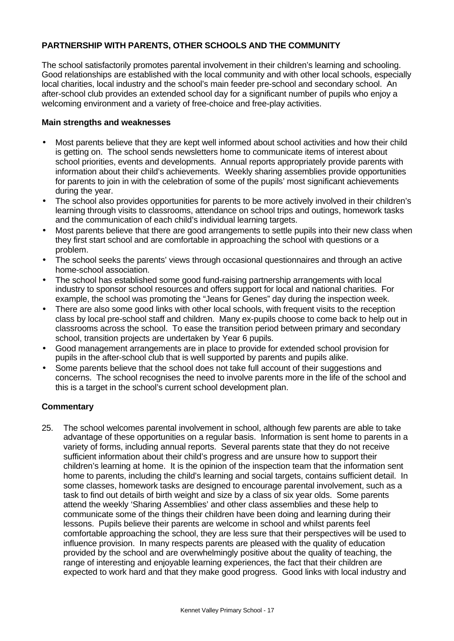# **PARTNERSHIP WITH PARENTS, OTHER SCHOOLS AND THE COMMUNITY**

The school satisfactorily promotes parental involvement in their children's learning and schooling. Good relationships are established with the local community and with other local schools, especially local charities, local industry and the school's main feeder pre-school and secondary school. An after-school club provides an extended school day for a significant number of pupils who enjoy a welcoming environment and a variety of free-choice and free-play activities.

### **Main strengths and weaknesses**

- Most parents believe that they are kept well informed about school activities and how their child is getting on. The school sends newsletters home to communicate items of interest about school priorities, events and developments. Annual reports appropriately provide parents with information about their child's achievements. Weekly sharing assemblies provide opportunities for parents to join in with the celebration of some of the pupils' most significant achievements during the year.
- The school also provides opportunities for parents to be more actively involved in their children's learning through visits to classrooms, attendance on school trips and outings, homework tasks and the communication of each child's individual learning targets.
- Most parents believe that there are good arrangements to settle pupils into their new class when they first start school and are comfortable in approaching the school with questions or a problem.
- The school seeks the parents' views through occasional questionnaires and through an active home-school association.
- The school has established some good fund-raising partnership arrangements with local industry to sponsor school resources and offers support for local and national charities. For example, the school was promoting the "Jeans for Genes" day during the inspection week.
- There are also some good links with other local schools, with frequent visits to the reception class by local pre-school staff and children. Many ex-pupils choose to come back to help out in classrooms across the school. To ease the transition period between primary and secondary school, transition projects are undertaken by Year 6 pupils.
- Good management arrangements are in place to provide for extended school provision for pupils in the after-school club that is well supported by parents and pupils alike.
- Some parents believe that the school does not take full account of their suggestions and concerns. The school recognises the need to involve parents more in the life of the school and this is a target in the school's current school development plan.

# **Commentary**

25. The school welcomes parental involvement in school, although few parents are able to take advantage of these opportunities on a regular basis. Information is sent home to parents in a variety of forms, including annual reports. Several parents state that they do not receive sufficient information about their child's progress and are unsure how to support their children's learning at home. It is the opinion of the inspection team that the information sent home to parents, including the child's learning and social targets, contains sufficient detail. In some classes, homework tasks are designed to encourage parental involvement, such as a task to find out details of birth weight and size by a class of six year olds. Some parents attend the weekly 'Sharing Assemblies' and other class assemblies and these help to communicate some of the things their children have been doing and learning during their lessons. Pupils believe their parents are welcome in school and whilst parents feel comfortable approaching the school, they are less sure that their perspectives will be used to influence provision. In many respects parents are pleased with the quality of education provided by the school and are overwhelmingly positive about the quality of teaching, the range of interesting and enjoyable learning experiences, the fact that their children are expected to work hard and that they make good progress. Good links with local industry and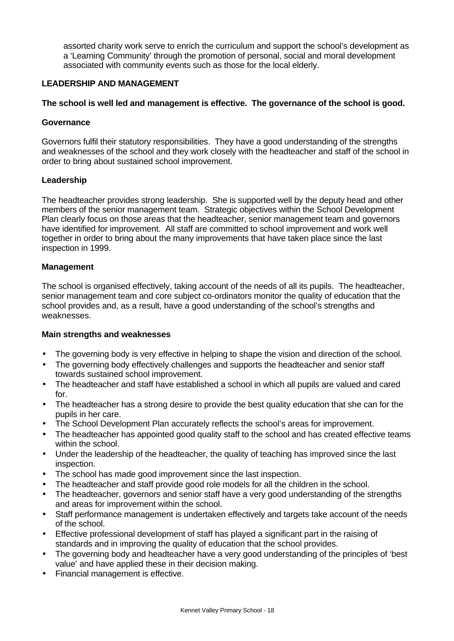assorted charity work serve to enrich the curriculum and support the school's development as a 'Learning Community' through the promotion of personal, social and moral development associated with community events such as those for the local elderly.

# **LEADERSHIP AND MANAGEMENT**

# **The school is well led and management is effective. The governance of the school is good.**

# **Governance**

Governors fulfil their statutory responsibilities. They have a good understanding of the strengths and weaknesses of the school and they work closely with the headteacher and staff of the school in order to bring about sustained school improvement.

# **Leadership**

The headteacher provides strong leadership. She is supported well by the deputy head and other members of the senior management team. Strategic objectives within the School Development Plan clearly focus on those areas that the headteacher, senior management team and governors have identified for improvement. All staff are committed to school improvement and work well together in order to bring about the many improvements that have taken place since the last inspection in 1999.

# **Management**

The school is organised effectively, taking account of the needs of all its pupils. The headteacher, senior management team and core subject co-ordinators monitor the quality of education that the school provides and, as a result, have a good understanding of the school's strengths and weaknesses.

# **Main strengths and weaknesses**

- The governing body is very effective in helping to shape the vision and direction of the school.
- The governing body effectively challenges and supports the headteacher and senior staff towards sustained school improvement.
- The headteacher and staff have established a school in which all pupils are valued and cared for.
- The headteacher has a strong desire to provide the best quality education that she can for the pupils in her care.
- The School Development Plan accurately reflects the school's areas for improvement.
- The headteacher has appointed good quality staff to the school and has created effective teams within the school.
- Under the leadership of the headteacher, the quality of teaching has improved since the last inspection.
- The school has made good improvement since the last inspection.
- The headteacher and staff provide good role models for all the children in the school.
- The headteacher, governors and senior staff have a very good understanding of the strengths and areas for improvement within the school.
- Staff performance management is undertaken effectively and targets take account of the needs of the school.
- Effective professional development of staff has played a significant part in the raising of standards and in improving the quality of education that the school provides.
- The governing body and headteacher have a very good understanding of the principles of 'best value' and have applied these in their decision making.
- Financial management is effective.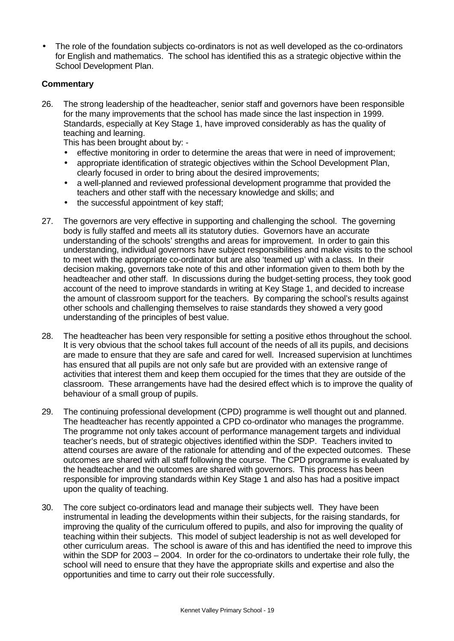• The role of the foundation subjects co-ordinators is not as well developed as the co-ordinators for English and mathematics. The school has identified this as a strategic objective within the School Development Plan.

# **Commentary**

26. The strong leadership of the headteacher, senior staff and governors have been responsible for the many improvements that the school has made since the last inspection in 1999. Standards, especially at Key Stage 1, have improved considerably as has the quality of teaching and learning.

This has been brought about by: -

- effective monitoring in order to determine the areas that were in need of improvement;
- appropriate identification of strategic objectives within the School Development Plan, clearly focused in order to bring about the desired improvements;
- a well-planned and reviewed professional development programme that provided the teachers and other staff with the necessary knowledge and skills; and
- the successful appointment of key staff;
- 27. The governors are very effective in supporting and challenging the school. The governing body is fully staffed and meets all its statutory duties. Governors have an accurate understanding of the schools' strengths and areas for improvement. In order to gain this understanding, individual governors have subject responsibilities and make visits to the school to meet with the appropriate co-ordinator but are also 'teamed up' with a class. In their decision making, governors take note of this and other information given to them both by the headteacher and other staff. In discussions during the budget-setting process, they took good account of the need to improve standards in writing at Key Stage 1, and decided to increase the amount of classroom support for the teachers. By comparing the school's results against other schools and challenging themselves to raise standards they showed a very good understanding of the principles of best value.
- 28. The headteacher has been very responsible for setting a positive ethos throughout the school. It is very obvious that the school takes full account of the needs of all its pupils, and decisions are made to ensure that they are safe and cared for well. Increased supervision at lunchtimes has ensured that all pupils are not only safe but are provided with an extensive range of activities that interest them and keep them occupied for the times that they are outside of the classroom. These arrangements have had the desired effect which is to improve the quality of behaviour of a small group of pupils.
- 29. The continuing professional development (CPD) programme is well thought out and planned. The headteacher has recently appointed a CPD co-ordinator who manages the programme. The programme not only takes account of performance management targets and individual teacher's needs, but of strategic objectives identified within the SDP. Teachers invited to attend courses are aware of the rationale for attending and of the expected outcomes. These outcomes are shared with all staff following the course. The CPD programme is evaluated by the headteacher and the outcomes are shared with governors. This process has been responsible for improving standards within Key Stage 1 and also has had a positive impact upon the quality of teaching.
- 30. The core subject co-ordinators lead and manage their subjects well. They have been instrumental in leading the developments within their subjects, for the raising standards, for improving the quality of the curriculum offered to pupils, and also for improving the quality of teaching within their subjects. This model of subject leadership is not as well developed for other curriculum areas. The school is aware of this and has identified the need to improve this within the SDP for 2003 – 2004. In order for the co-ordinators to undertake their role fully, the school will need to ensure that they have the appropriate skills and expertise and also the opportunities and time to carry out their role successfully.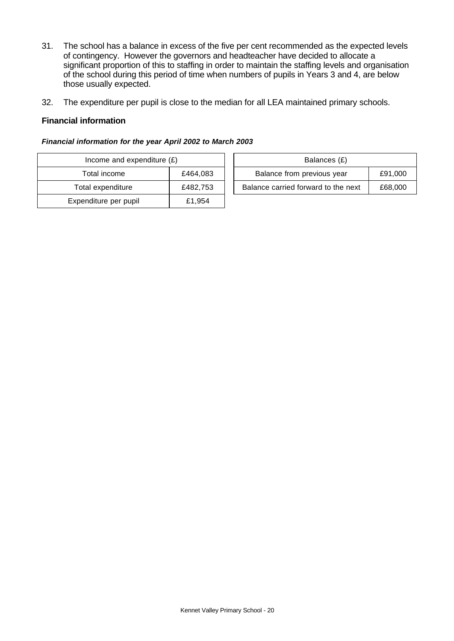- 31. The school has a balance in excess of the five per cent recommended as the expected levels of contingency. However the governors and headteacher have decided to allocate a significant proportion of this to staffing in order to maintain the staffing levels and organisation of the school during this period of time when numbers of pupils in Years 3 and 4, are below those usually expected.
- 32. The expenditure per pupil is close to the median for all LEA maintained primary schools.

### **Financial information**

#### *Financial information for the year April 2002 to March 2003*

| Income and expenditure $(E)$ |          | Balances (£)                        |         |
|------------------------------|----------|-------------------------------------|---------|
| Total income                 | £464,083 | Balance from previous year          | £91,000 |
| Total expenditure            | £482.753 | Balance carried forward to the next | £68,000 |
| Expenditure per pupil        | £1,954   |                                     |         |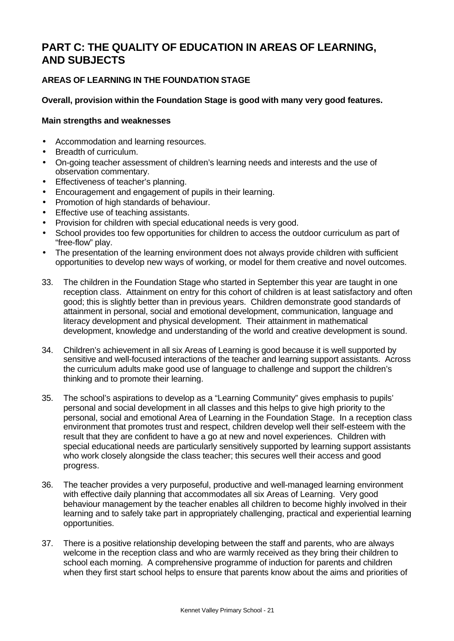# **PART C: THE QUALITY OF EDUCATION IN AREAS OF LEARNING, AND SUBJECTS**

# **AREAS OF LEARNING IN THE FOUNDATION STAGE**

# **Overall, provision within the Foundation Stage is good with many very good features.**

# **Main strengths and weaknesses**

- Accommodation and learning resources.
- Breadth of curriculum.
- On-going teacher assessment of children's learning needs and interests and the use of observation commentary.
- Effectiveness of teacher's planning.
- Encouragement and engagement of pupils in their learning.
- Promotion of high standards of behaviour.
- Effective use of teaching assistants.
- Provision for children with special educational needs is very good.
- School provides too few opportunities for children to access the outdoor curriculum as part of "free-flow" play.
- The presentation of the learning environment does not always provide children with sufficient opportunities to develop new ways of working, or model for them creative and novel outcomes.
- 33. The children in the Foundation Stage who started in September this year are taught in one reception class. Attainment on entry for this cohort of children is at least satisfactory and often good; this is slightly better than in previous years. Children demonstrate good standards of attainment in personal, social and emotional development, communication, language and literacy development and physical development. Their attainment in mathematical development, knowledge and understanding of the world and creative development is sound.
- 34. Children's achievement in all six Areas of Learning is good because it is well supported by sensitive and well-focused interactions of the teacher and learning support assistants. Across the curriculum adults make good use of language to challenge and support the children's thinking and to promote their learning.
- 35. The school's aspirations to develop as a "Learning Community" gives emphasis to pupils' personal and social development in all classes and this helps to give high priority to the personal, social and emotional Area of Learning in the Foundation Stage. In a reception class environment that promotes trust and respect, children develop well their self-esteem with the result that they are confident to have a go at new and novel experiences. Children with special educational needs are particularly sensitively supported by learning support assistants who work closely alongside the class teacher; this secures well their access and good progress.
- 36. The teacher provides a very purposeful, productive and well-managed learning environment with effective daily planning that accommodates all six Areas of Learning. Very good behaviour management by the teacher enables all children to become highly involved in their learning and to safely take part in appropriately challenging, practical and experiential learning opportunities.
- 37. There is a positive relationship developing between the staff and parents, who are always welcome in the reception class and who are warmly received as they bring their children to school each morning. A comprehensive programme of induction for parents and children when they first start school helps to ensure that parents know about the aims and priorities of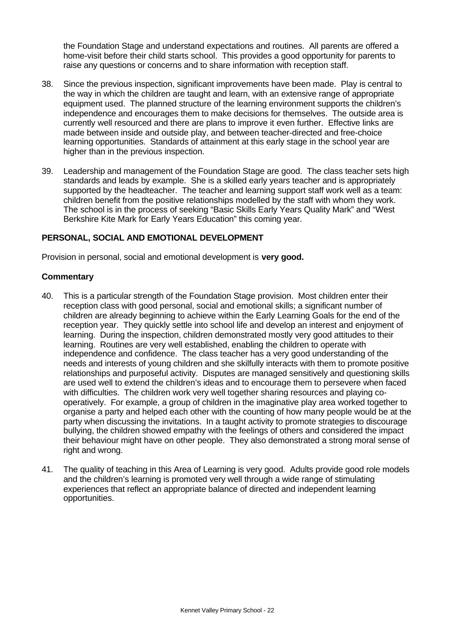the Foundation Stage and understand expectations and routines. All parents are offered a home-visit before their child starts school. This provides a good opportunity for parents to raise any questions or concerns and to share information with reception staff.

- 38. Since the previous inspection, significant improvements have been made. Play is central to the way in which the children are taught and learn, with an extensive range of appropriate equipment used. The planned structure of the learning environment supports the children's independence and encourages them to make decisions for themselves. The outside area is currently well resourced and there are plans to improve it even further. Effective links are made between inside and outside play, and between teacher-directed and free-choice learning opportunities. Standards of attainment at this early stage in the school year are higher than in the previous inspection.
- 39. Leadership and management of the Foundation Stage are good. The class teacher sets high standards and leads by example. She is a skilled early years teacher and is appropriately supported by the headteacher. The teacher and learning support staff work well as a team: children benefit from the positive relationships modelled by the staff with whom they work. The school is in the process of seeking "Basic Skills Early Years Quality Mark" and "West Berkshire Kite Mark for Early Years Education" this coming year.

# **PERSONAL, SOCIAL AND EMOTIONAL DEVELOPMENT**

Provision in personal, social and emotional development is **very good.**

- 40. This is a particular strength of the Foundation Stage provision. Most children enter their reception class with good personal, social and emotional skills; a significant number of children are already beginning to achieve within the Early Learning Goals for the end of the reception year. They quickly settle into school life and develop an interest and enjoyment of learning. During the inspection, children demonstrated mostly very good attitudes to their learning. Routines are very well established, enabling the children to operate with independence and confidence. The class teacher has a very good understanding of the needs and interests of young children and she skilfully interacts with them to promote positive relationships and purposeful activity. Disputes are managed sensitively and questioning skills are used well to extend the children's ideas and to encourage them to persevere when faced with difficulties. The children work very well together sharing resources and playing cooperatively. For example, a group of children in the imaginative play area worked together to organise a party and helped each other with the counting of how many people would be at the party when discussing the invitations. In a taught activity to promote strategies to discourage bullying, the children showed empathy with the feelings of others and considered the impact their behaviour might have on other people. They also demonstrated a strong moral sense of right and wrong.
- 41. The quality of teaching in this Area of Learning is very good. Adults provide good role models and the children's learning is promoted very well through a wide range of stimulating experiences that reflect an appropriate balance of directed and independent learning opportunities.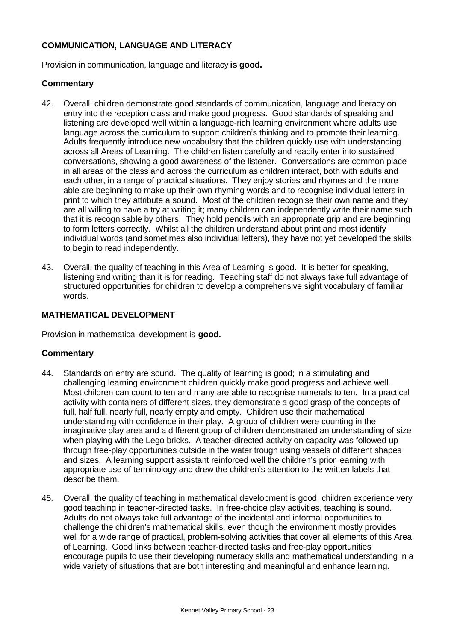# **COMMUNICATION, LANGUAGE AND LITERACY**

Provision in communication, language and literacy **is good.**

#### **Commentary**

- 42. Overall, children demonstrate good standards of communication, language and literacy on entry into the reception class and make good progress. Good standards of speaking and listening are developed well within a language-rich learning environment where adults use language across the curriculum to support children's thinking and to promote their learning. Adults frequently introduce new vocabulary that the children quickly use with understanding across all Areas of Learning. The children listen carefully and readily enter into sustained conversations, showing a good awareness of the listener. Conversations are common place in all areas of the class and across the curriculum as children interact, both with adults and each other, in a range of practical situations. They enjoy stories and rhymes and the more able are beginning to make up their own rhyming words and to recognise individual letters in print to which they attribute a sound. Most of the children recognise their own name and they are all willing to have a try at writing it; many children can independently write their name such that it is recognisable by others. They hold pencils with an appropriate grip and are beginning to form letters correctly. Whilst all the children understand about print and most identify individual words (and sometimes also individual letters), they have not yet developed the skills to begin to read independently.
- 43. Overall, the quality of teaching in this Area of Learning is good. It is better for speaking, listening and writing than it is for reading. Teaching staff do not always take full advantage of structured opportunities for children to develop a comprehensive sight vocabulary of familiar words.

#### **MATHEMATICAL DEVELOPMENT**

Provision in mathematical development is **good.**

- 44. Standards on entry are sound. The quality of learning is good; in a stimulating and challenging learning environment children quickly make good progress and achieve well. Most children can count to ten and many are able to recognise numerals to ten. In a practical activity with containers of different sizes, they demonstrate a good grasp of the concepts of full, half full, nearly full, nearly empty and empty. Children use their mathematical understanding with confidence in their play. A group of children were counting in the imaginative play area and a different group of children demonstrated an understanding of size when playing with the Lego bricks. A teacher-directed activity on capacity was followed up through free-play opportunities outside in the water trough using vessels of different shapes and sizes. A learning support assistant reinforced well the children's prior learning with appropriate use of terminology and drew the children's attention to the written labels that describe them.
- 45. Overall, the quality of teaching in mathematical development is good; children experience very good teaching in teacher-directed tasks. In free-choice play activities, teaching is sound. Adults do not always take full advantage of the incidental and informal opportunities to challenge the children's mathematical skills, even though the environment mostly provides well for a wide range of practical, problem-solving activities that cover all elements of this Area of Learning. Good links between teacher-directed tasks and free-play opportunities encourage pupils to use their developing numeracy skills and mathematical understanding in a wide variety of situations that are both interesting and meaningful and enhance learning.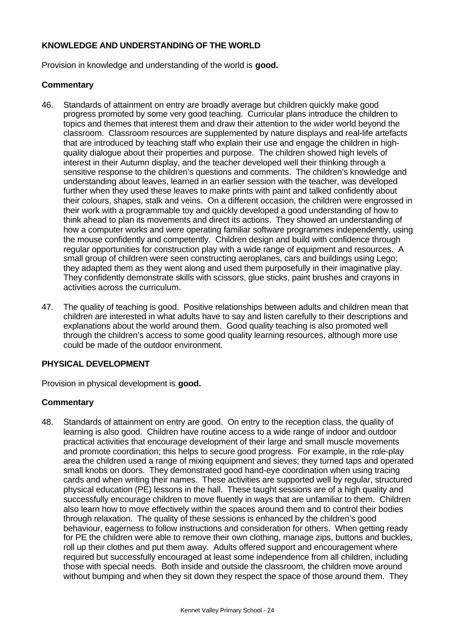# **KNOWLEDGE AND UNDERSTANDING OF THE WORLD**

Provision in knowledge and understanding of the world is **good.**

# **Commentary**

- 46. Standards of attainment on entry are broadly average but children quickly make good progress promoted by some very good teaching. Curricular plans introduce the children to topics and themes that interest them and draw their attention to the wider world beyond the classroom. Classroom resources are supplemented by nature displays and real-life artefacts that are introduced by teaching staff who explain their use and engage the children in highquality dialogue about their properties and purpose. The children showed high levels of interest in their Autumn display, and the teacher developed well their thinking through a sensitive response to the children's questions and comments. The children's knowledge and understanding about leaves, learned in an earlier session with the teacher, was developed further when they used these leaves to make prints with paint and talked confidently about their colours, shapes, stalk and veins. On a different occasion, the children were engrossed in their work with a programmable toy and quickly developed a good understanding of how to think ahead to plan its movements and direct its actions. They showed an understanding of how a computer works and were operating familiar software programmes independently, using the mouse confidently and competently. Children design and build with confidence through regular opportunities for construction play with a wide range of equipment and resources. A small group of children were seen constructing aeroplanes, cars and buildings using Lego; they adapted them as they went along and used them purposefully in their imaginative play. They confidently demonstrate skills with scissors, glue sticks, paint brushes and crayons in activities across the curriculum.
- 47. The quality of teaching is good. Positive relationships between adults and children mean that children are interested in what adults have to say and listen carefully to their descriptions and explanations about the world around them. Good quality teaching is also promoted well through the children's access to some good quality learning resources, although more use could be made of the outdoor environment.

# **PHYSICAL DEVELOPMENT**

Provision in physical development is **good.**

# **Commentary**

48. Standards of attainment on entry are good. On entry to the reception class, the quality of learning is also good. Children have routine access to a wide range of indoor and outdoor practical activities that encourage development of their large and small muscle movements and promote coordination; this helps to secure good progress. For example, in the role-play area the children used a range of mixing equipment and sieves; they turned taps and operated small knobs on doors. They demonstrated good hand-eye coordination when using tracing cards and when writing their names. These activities are supported well by regular, structured physical education (PE) lessons in the hall. These taught sessions are of a high quality and successfully encourage children to move fluently in ways that are unfamiliar to them. Children also learn how to move effectively within the spaces around them and to control their bodies through relaxation. The quality of these sessions is enhanced by the children's good behaviour, eagerness to follow instructions and consideration for others. When getting ready for PE the children were able to remove their own clothing, manage zips, buttons and buckles, roll up their clothes and put them away. Adults offered support and encouragement where required but successfully encouraged at least some independence from all children, including those with special needs. Both inside and outside the classroom, the children move around without bumping and when they sit down they respect the space of those around them. They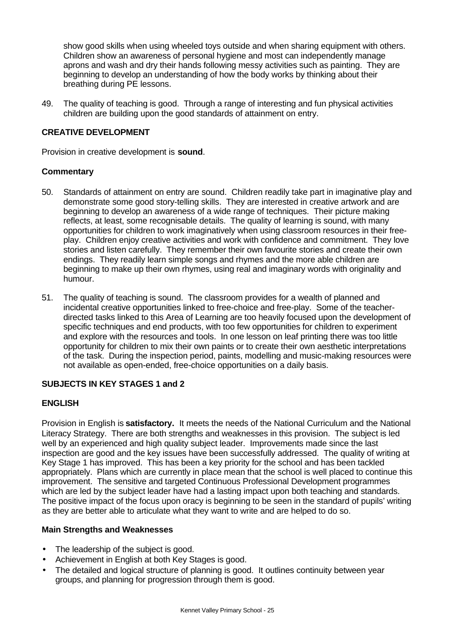show good skills when using wheeled toys outside and when sharing equipment with others. Children show an awareness of personal hygiene and most can independently manage aprons and wash and dry their hands following messy activities such as painting. They are beginning to develop an understanding of how the body works by thinking about their breathing during PE lessons.

49. The quality of teaching is good. Through a range of interesting and fun physical activities children are building upon the good standards of attainment on entry.

# **CREATIVE DEVELOPMENT**

Provision in creative development is **sound**.

# **Commentary**

- 50. Standards of attainment on entry are sound. Children readily take part in imaginative play and demonstrate some good story-telling skills. They are interested in creative artwork and are beginning to develop an awareness of a wide range of techniques. Their picture making reflects, at least, some recognisable details. The quality of learning is sound, with many opportunities for children to work imaginatively when using classroom resources in their freeplay. Children enjoy creative activities and work with confidence and commitment. They love stories and listen carefully. They remember their own favourite stories and create their own endings. They readily learn simple songs and rhymes and the more able children are beginning to make up their own rhymes, using real and imaginary words with originality and humour.
- 51. The quality of teaching is sound. The classroom provides for a wealth of planned and incidental creative opportunities linked to free-choice and free-play. Some of the teacherdirected tasks linked to this Area of Learning are too heavily focused upon the development of specific techniques and end products, with too few opportunities for children to experiment and explore with the resources and tools. In one lesson on leaf printing there was too little opportunity for children to mix their own paints or to create their own aesthetic interpretations of the task. During the inspection period, paints, modelling and music-making resources were not available as open-ended, free-choice opportunities on a daily basis.

# **SUBJECTS IN KEY STAGES 1 and 2**

# **ENGLISH**

Provision in English is **satisfactory.** It meets the needs of the National Curriculum and the National Literacy Strategy. There are both strengths and weaknesses in this provision. The subject is led well by an experienced and high quality subject leader. Improvements made since the last inspection are good and the key issues have been successfully addressed. The quality of writing at Key Stage 1 has improved. This has been a key priority for the school and has been tackled appropriately. Plans which are currently in place mean that the school is well placed to continue this improvement. The sensitive and targeted Continuous Professional Development programmes which are led by the subject leader have had a lasting impact upon both teaching and standards. The positive impact of the focus upon oracy is beginning to be seen in the standard of pupils' writing as they are better able to articulate what they want to write and are helped to do so.

# **Main Strengths and Weaknesses**

- The leadership of the subject is good.
- Achievement in English at both Key Stages is good.
- The detailed and logical structure of planning is good. It outlines continuity between year groups, and planning for progression through them is good.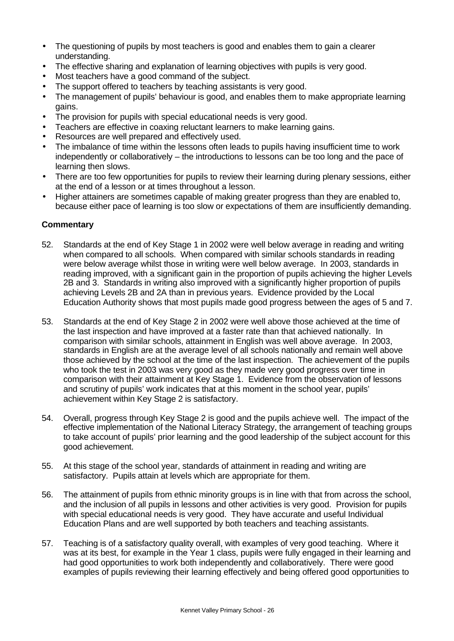- The questioning of pupils by most teachers is good and enables them to gain a clearer understanding.
- The effective sharing and explanation of learning objectives with pupils is very good.
- Most teachers have a good command of the subject.
- The support offered to teachers by teaching assistants is very good.
- The management of pupils' behaviour is good, and enables them to make appropriate learning gains.
- The provision for pupils with special educational needs is very good.
- Teachers are effective in coaxing reluctant learners to make learning gains.
- Resources are well prepared and effectively used.
- The imbalance of time within the lessons often leads to pupils having insufficient time to work independently or collaboratively – the introductions to lessons can be too long and the pace of learning then slows.
- There are too few opportunities for pupils to review their learning during plenary sessions, either at the end of a lesson or at times throughout a lesson.
- Higher attainers are sometimes capable of making greater progress than they are enabled to, because either pace of learning is too slow or expectations of them are insufficiently demanding.

- 52. Standards at the end of Key Stage 1 in 2002 were well below average in reading and writing when compared to all schools. When compared with similar schools standards in reading were below average whilst those in writing were well below average. In 2003, standards in reading improved, with a significant gain in the proportion of pupils achieving the higher Levels 2B and 3. Standards in writing also improved with a significantly higher proportion of pupils achieving Levels 2B and 2A than in previous years. Evidence provided by the Local Education Authority shows that most pupils made good progress between the ages of 5 and 7.
- 53. Standards at the end of Key Stage 2 in 2002 were well above those achieved at the time of the last inspection and have improved at a faster rate than that achieved nationally. In comparison with similar schools, attainment in English was well above average. In 2003, standards in English are at the average level of all schools nationally and remain well above those achieved by the school at the time of the last inspection. The achievement of the pupils who took the test in 2003 was very good as they made very good progress over time in comparison with their attainment at Key Stage 1. Evidence from the observation of lessons and scrutiny of pupils' work indicates that at this moment in the school year, pupils' achievement within Key Stage 2 is satisfactory.
- 54. Overall, progress through Key Stage 2 is good and the pupils achieve well. The impact of the effective implementation of the National Literacy Strategy, the arrangement of teaching groups to take account of pupils' prior learning and the good leadership of the subject account for this good achievement.
- 55. At this stage of the school year, standards of attainment in reading and writing are satisfactory. Pupils attain at levels which are appropriate for them.
- 56. The attainment of pupils from ethnic minority groups is in line with that from across the school, and the inclusion of all pupils in lessons and other activities is very good. Provision for pupils with special educational needs is very good. They have accurate and useful Individual Education Plans and are well supported by both teachers and teaching assistants.
- 57. Teaching is of a satisfactory quality overall, with examples of very good teaching. Where it was at its best, for example in the Year 1 class, pupils were fully engaged in their learning and had good opportunities to work both independently and collaboratively. There were good examples of pupils reviewing their learning effectively and being offered good opportunities to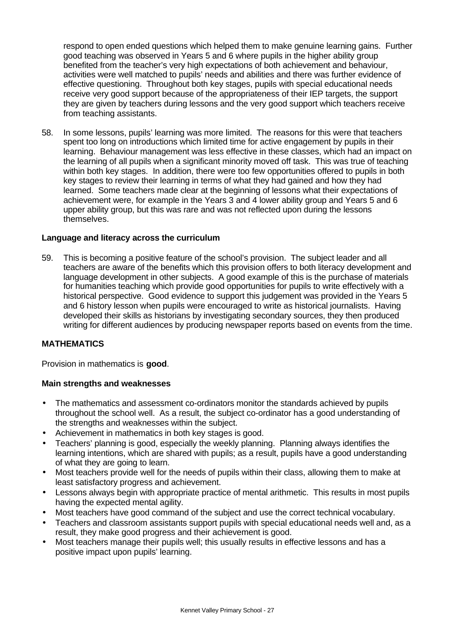respond to open ended questions which helped them to make genuine learning gains. Further good teaching was observed in Years 5 and 6 where pupils in the higher ability group benefited from the teacher's very high expectations of both achievement and behaviour, activities were well matched to pupils' needs and abilities and there was further evidence of effective questioning. Throughout both key stages, pupils with special educational needs receive very good support because of the appropriateness of their IEP targets, the support they are given by teachers during lessons and the very good support which teachers receive from teaching assistants.

58. In some lessons, pupils' learning was more limited. The reasons for this were that teachers spent too long on introductions which limited time for active engagement by pupils in their learning. Behaviour management was less effective in these classes, which had an impact on the learning of all pupils when a significant minority moved off task. This was true of teaching within both key stages. In addition, there were too few opportunities offered to pupils in both key stages to review their learning in terms of what they had gained and how they had learned. Some teachers made clear at the beginning of lessons what their expectations of achievement were, for example in the Years 3 and 4 lower ability group and Years 5 and 6 upper ability group, but this was rare and was not reflected upon during the lessons themselves.

# **Language and literacy across the curriculum**

59. This is becoming a positive feature of the school's provision. The subject leader and all teachers are aware of the benefits which this provision offers to both literacy development and language development in other subjects. A good example of this is the purchase of materials for humanities teaching which provide good opportunities for pupils to write effectively with a historical perspective. Good evidence to support this judgement was provided in the Years 5 and 6 history lesson when pupils were encouraged to write as historical journalists. Having developed their skills as historians by investigating secondary sources, they then produced writing for different audiences by producing newspaper reports based on events from the time.

# **MATHEMATICS**

Provision in mathematics is **good**.

# **Main strengths and weaknesses**

- The mathematics and assessment co-ordinators monitor the standards achieved by pupils throughout the school well. As a result, the subject co-ordinator has a good understanding of the strengths and weaknesses within the subject.
- Achievement in mathematics in both key stages is good.
- Teachers' planning is good, especially the weekly planning. Planning always identifies the learning intentions, which are shared with pupils; as a result, pupils have a good understanding of what they are going to learn.
- Most teachers provide well for the needs of pupils within their class, allowing them to make at least satisfactory progress and achievement.
- Lessons always begin with appropriate practice of mental arithmetic. This results in most pupils having the expected mental agility.
- Most teachers have good command of the subject and use the correct technical vocabulary.
- Teachers and classroom assistants support pupils with special educational needs well and, as a result, they make good progress and their achievement is good.
- Most teachers manage their pupils well; this usually results in effective lessons and has a positive impact upon pupils' learning.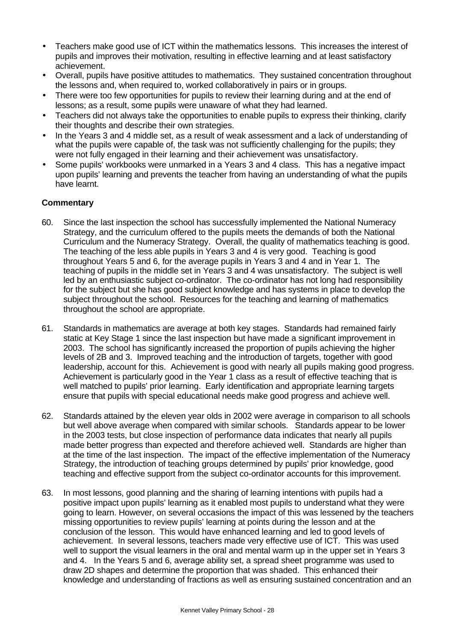- Teachers make good use of ICT within the mathematics lessons. This increases the interest of pupils and improves their motivation, resulting in effective learning and at least satisfactory achievement.
- Overall, pupils have positive attitudes to mathematics. They sustained concentration throughout the lessons and, when required to, worked collaboratively in pairs or in groups.
- There were too few opportunities for pupils to review their learning during and at the end of lessons; as a result, some pupils were unaware of what they had learned.
- Teachers did not always take the opportunities to enable pupils to express their thinking, clarify their thoughts and describe their own strategies.
- In the Years 3 and 4 middle set, as a result of weak assessment and a lack of understanding of what the pupils were capable of, the task was not sufficiently challenging for the pupils; they were not fully engaged in their learning and their achievement was unsatisfactory.
- Some pupils' workbooks were unmarked in a Years 3 and 4 class. This has a negative impact upon pupils' learning and prevents the teacher from having an understanding of what the pupils have learnt.

- 60. Since the last inspection the school has successfully implemented the National Numeracy Strategy, and the curriculum offered to the pupils meets the demands of both the National Curriculum and the Numeracy Strategy. Overall, the quality of mathematics teaching is good. The teaching of the less able pupils in Years 3 and 4 is very good. Teaching is good throughout Years 5 and 6, for the average pupils in Years 3 and 4 and in Year 1. The teaching of pupils in the middle set in Years 3 and 4 was unsatisfactory. The subject is well led by an enthusiastic subject co-ordinator. The co-ordinator has not long had responsibility for the subject but she has good subject knowledge and has systems in place to develop the subject throughout the school. Resources for the teaching and learning of mathematics throughout the school are appropriate.
- 61. Standards in mathematics are average at both key stages. Standards had remained fairly static at Key Stage 1 since the last inspection but have made a significant improvement in 2003. The school has significantly increased the proportion of pupils achieving the higher levels of 2B and 3. Improved teaching and the introduction of targets, together with good leadership, account for this. Achievement is good with nearly all pupils making good progress. Achievement is particularly good in the Year 1 class as a result of effective teaching that is well matched to pupils' prior learning. Early identification and appropriate learning targets ensure that pupils with special educational needs make good progress and achieve well.
- 62. Standards attained by the eleven year olds in 2002 were average in comparison to all schools but well above average when compared with similar schools. Standards appear to be lower in the 2003 tests, but close inspection of performance data indicates that nearly all pupils made better progress than expected and therefore achieved well. Standards are higher than at the time of the last inspection. The impact of the effective implementation of the Numeracy Strategy, the introduction of teaching groups determined by pupils' prior knowledge, good teaching and effective support from the subject co-ordinator accounts for this improvement.
- 63. In most lessons, good planning and the sharing of learning intentions with pupils had a positive impact upon pupils' learning as it enabled most pupils to understand what they were going to learn. However, on several occasions the impact of this was lessened by the teachers missing opportunities to review pupils' learning at points during the lesson and at the conclusion of the lesson. This would have enhanced learning and led to good levels of achievement. In several lessons, teachers made very effective use of ICT. This was used well to support the visual learners in the oral and mental warm up in the upper set in Years 3 and 4. In the Years 5 and 6, average ability set, a spread sheet programme was used to draw 2D shapes and determine the proportion that was shaded. This enhanced their knowledge and understanding of fractions as well as ensuring sustained concentration and an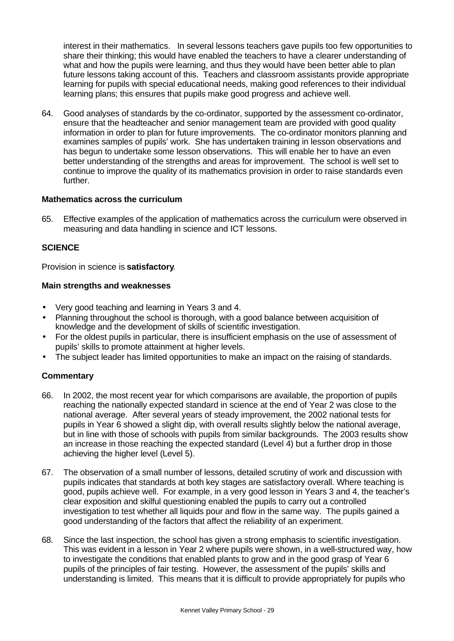interest in their mathematics. In several lessons teachers gave pupils too few opportunities to share their thinking; this would have enabled the teachers to have a clearer understanding of what and how the pupils were learning, and thus they would have been better able to plan future lessons taking account of this. Teachers and classroom assistants provide appropriate learning for pupils with special educational needs, making good references to their individual learning plans; this ensures that pupils make good progress and achieve well.

64. Good analyses of standards by the co-ordinator, supported by the assessment co-ordinator, ensure that the headteacher and senior management team are provided with good quality information in order to plan for future improvements. The co-ordinator monitors planning and examines samples of pupils' work. She has undertaken training in lesson observations and has begun to undertake some lesson observations. This will enable her to have an even better understanding of the strengths and areas for improvement. The school is well set to continue to improve the quality of its mathematics provision in order to raise standards even further.

# **Mathematics across the curriculum**

65. Effective examples of the application of mathematics across the curriculum were observed in measuring and data handling in science and ICT lessons.

# **SCIENCE**

Provision in science is **satisfactory**.

# **Main strengths and weaknesses**

- Very good teaching and learning in Years 3 and 4.
- Planning throughout the school is thorough, with a good balance between acquisition of knowledge and the development of skills of scientific investigation.
- For the oldest pupils in particular, there is insufficient emphasis on the use of assessment of pupils' skills to promote attainment at higher levels.
- The subject leader has limited opportunities to make an impact on the raising of standards.

- 66. In 2002, the most recent year for which comparisons are available, the proportion of pupils reaching the nationally expected standard in science at the end of Year 2 was close to the national average. After several years of steady improvement, the 2002 national tests for pupils in Year 6 showed a slight dip, with overall results slightly below the national average, but in line with those of schools with pupils from similar backgrounds. The 2003 results show an increase in those reaching the expected standard (Level 4) but a further drop in those achieving the higher level (Level 5).
- 67. The observation of a small number of lessons, detailed scrutiny of work and discussion with pupils indicates that standards at both key stages are satisfactory overall. Where teaching is good, pupils achieve well. For example, in a very good lesson in Years 3 and 4, the teacher's clear exposition and skilful questioning enabled the pupils to carry out a controlled investigation to test whether all liquids pour and flow in the same way. The pupils gained a good understanding of the factors that affect the reliability of an experiment.
- 68. Since the last inspection, the school has given a strong emphasis to scientific investigation. This was evident in a lesson in Year 2 where pupils were shown, in a well-structured way, how to investigate the conditions that enabled plants to grow and in the good grasp of Year 6 pupils of the principles of fair testing. However, the assessment of the pupils' skills and understanding is limited. This means that it is difficult to provide appropriately for pupils who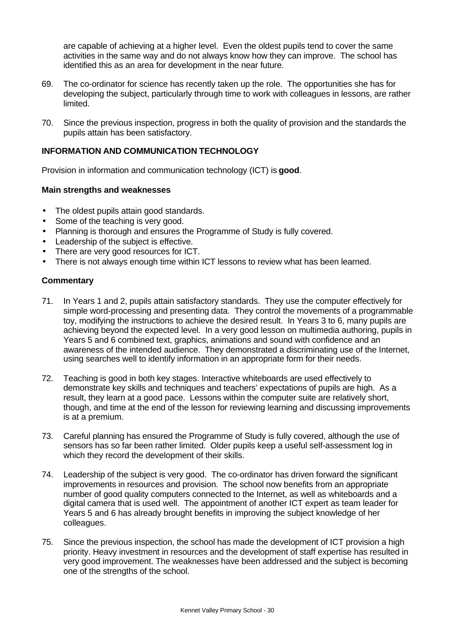are capable of achieving at a higher level. Even the oldest pupils tend to cover the same activities in the same way and do not always know how they can improve. The school has identified this as an area for development in the near future.

- 69. The co-ordinator for science has recently taken up the role. The opportunities she has for developing the subject, particularly through time to work with colleagues in lessons, are rather limited.
- 70. Since the previous inspection, progress in both the quality of provision and the standards the pupils attain has been satisfactory.

# **INFORMATION AND COMMUNICATION TECHNOLOGY**

Provision in information and communication technology (ICT) is **good**.

# **Main strengths and weaknesses**

- The oldest pupils attain good standards.
- Some of the teaching is very good.
- Planning is thorough and ensures the Programme of Study is fully covered.
- Leadership of the subject is effective.
- There are very good resources for ICT.
- There is not always enough time within ICT lessons to review what has been learned.

- 71. In Years 1 and 2, pupils attain satisfactory standards. They use the computer effectively for simple word-processing and presenting data. They control the movements of a programmable toy, modifying the instructions to achieve the desired result. In Years 3 to 6, many pupils are achieving beyond the expected level. In a very good lesson on multimedia authoring, pupils in Years 5 and 6 combined text, graphics, animations and sound with confidence and an awareness of the intended audience. They demonstrated a discriminating use of the Internet, using searches well to identify information in an appropriate form for their needs.
- 72. Teaching is good in both key stages. Interactive whiteboards are used effectively to demonstrate key skills and techniques and teachers' expectations of pupils are high. As a result, they learn at a good pace. Lessons within the computer suite are relatively short, though, and time at the end of the lesson for reviewing learning and discussing improvements is at a premium.
- 73. Careful planning has ensured the Programme of Study is fully covered, although the use of sensors has so far been rather limited. Older pupils keep a useful self-assessment log in which they record the development of their skills.
- 74. Leadership of the subject is very good. The co-ordinator has driven forward the significant improvements in resources and provision. The school now benefits from an appropriate number of good quality computers connected to the Internet, as well as whiteboards and a digital camera that is used well. The appointment of another ICT expert as team leader for Years 5 and 6 has already brought benefits in improving the subject knowledge of her colleagues.
- 75. Since the previous inspection, the school has made the development of ICT provision a high priority. Heavy investment in resources and the development of staff expertise has resulted in very good improvement. The weaknesses have been addressed and the subject is becoming one of the strengths of the school.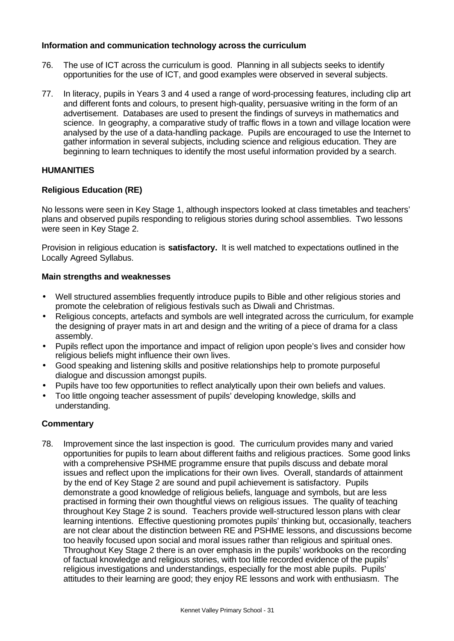# **Information and communication technology across the curriculum**

- 76. The use of ICT across the curriculum is good. Planning in all subjects seeks to identify opportunities for the use of ICT, and good examples were observed in several subjects.
- 77. In literacy, pupils in Years 3 and 4 used a range of word-processing features, including clip art and different fonts and colours, to present high-quality, persuasive writing in the form of an advertisement. Databases are used to present the findings of surveys in mathematics and science. In geography, a comparative study of traffic flows in a town and village location were analysed by the use of a data-handling package. Pupils are encouraged to use the Internet to gather information in several subjects, including science and religious education. They are beginning to learn techniques to identify the most useful information provided by a search.

# **HUMANITIES**

# **Religious Education (RE)**

No lessons were seen in Key Stage 1, although inspectors looked at class timetables and teachers' plans and observed pupils responding to religious stories during school assemblies. Two lessons were seen in Key Stage 2.

Provision in religious education is **satisfactory.** It is well matched to expectations outlined in the Locally Agreed Syllabus.

#### **Main strengths and weaknesses**

- Well structured assemblies frequently introduce pupils to Bible and other religious stories and promote the celebration of religious festivals such as Diwali and Christmas.
- Religious concepts, artefacts and symbols are well integrated across the curriculum, for example the designing of prayer mats in art and design and the writing of a piece of drama for a class assembly.
- Pupils reflect upon the importance and impact of religion upon people's lives and consider how religious beliefs might influence their own lives.
- Good speaking and listening skills and positive relationships help to promote purposeful dialogue and discussion amongst pupils.
- Pupils have too few opportunities to reflect analytically upon their own beliefs and values.
- Too little ongoing teacher assessment of pupils' developing knowledge, skills and understanding.

# **Commentary**

78. Improvement since the last inspection is good. The curriculum provides many and varied opportunities for pupils to learn about different faiths and religious practices. Some good links with a comprehensive PSHME programme ensure that pupils discuss and debate moral issues and reflect upon the implications for their own lives. Overall, standards of attainment by the end of Key Stage 2 are sound and pupil achievement is satisfactory. Pupils demonstrate a good knowledge of religious beliefs, language and symbols, but are less practised in forming their own thoughtful views on religious issues. The quality of teaching throughout Key Stage 2 is sound. Teachers provide well-structured lesson plans with clear learning intentions. Effective questioning promotes pupils' thinking but, occasionally, teachers are not clear about the distinction between RE and PSHME lessons, and discussions become too heavily focused upon social and moral issues rather than religious and spiritual ones. Throughout Key Stage 2 there is an over emphasis in the pupils' workbooks on the recording of factual knowledge and religious stories, with too little recorded evidence of the pupils' religious investigations and understandings, especially for the most able pupils. Pupils' attitudes to their learning are good; they enjoy RE lessons and work with enthusiasm. The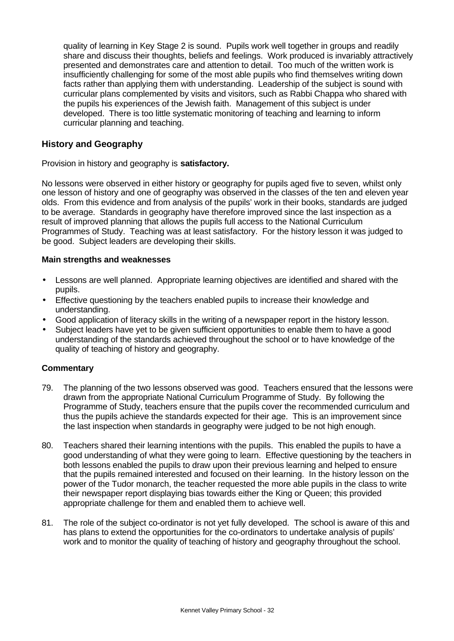quality of learning in Key Stage 2 is sound. Pupils work well together in groups and readily share and discuss their thoughts, beliefs and feelings. Work produced is invariably attractively presented and demonstrates care and attention to detail. Too much of the written work is insufficiently challenging for some of the most able pupils who find themselves writing down facts rather than applying them with understanding. Leadership of the subject is sound with curricular plans complemented by visits and visitors, such as Rabbi Chappa who shared with the pupils his experiences of the Jewish faith. Management of this subject is under developed. There is too little systematic monitoring of teaching and learning to inform curricular planning and teaching.

# **History and Geography**

Provision in history and geography is **satisfactory.**

No lessons were observed in either history or geography for pupils aged five to seven, whilst only one lesson of history and one of geography was observed in the classes of the ten and eleven year olds. From this evidence and from analysis of the pupils' work in their books, standards are judged to be average. Standards in geography have therefore improved since the last inspection as a result of improved planning that allows the pupils full access to the National Curriculum Programmes of Study. Teaching was at least satisfactory. For the history lesson it was judged to be good. Subject leaders are developing their skills.

#### **Main strengths and weaknesses**

- Lessons are well planned. Appropriate learning objectives are identified and shared with the pupils.
- Effective questioning by the teachers enabled pupils to increase their knowledge and understanding.
- Good application of literacy skills in the writing of a newspaper report in the history lesson.
- Subject leaders have yet to be given sufficient opportunities to enable them to have a good understanding of the standards achieved throughout the school or to have knowledge of the quality of teaching of history and geography.

- 79. The planning of the two lessons observed was good. Teachers ensured that the lessons were drawn from the appropriate National Curriculum Programme of Study. By following the Programme of Study, teachers ensure that the pupils cover the recommended curriculum and thus the pupils achieve the standards expected for their age. This is an improvement since the last inspection when standards in geography were judged to be not high enough.
- 80. Teachers shared their learning intentions with the pupils. This enabled the pupils to have a good understanding of what they were going to learn. Effective questioning by the teachers in both lessons enabled the pupils to draw upon their previous learning and helped to ensure that the pupils remained interested and focused on their learning. In the history lesson on the power of the Tudor monarch, the teacher requested the more able pupils in the class to write their newspaper report displaying bias towards either the King or Queen; this provided appropriate challenge for them and enabled them to achieve well.
- 81. The role of the subject co-ordinator is not yet fully developed. The school is aware of this and has plans to extend the opportunities for the co-ordinators to undertake analysis of pupils' work and to monitor the quality of teaching of history and geography throughout the school.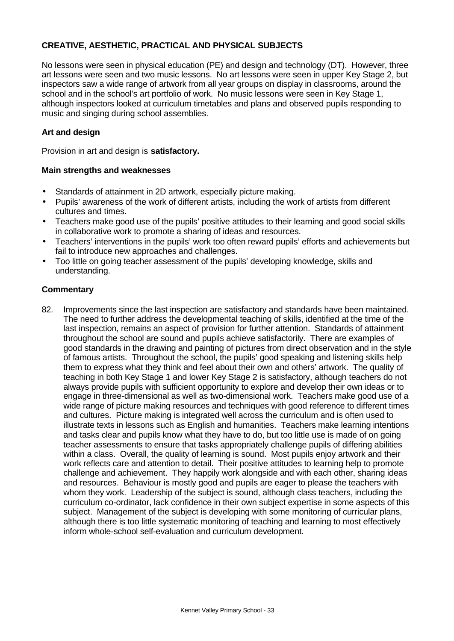# **CREATIVE, AESTHETIC, PRACTICAL AND PHYSICAL SUBJECTS**

No lessons were seen in physical education (PE) and design and technology (DT). However, three art lessons were seen and two music lessons. No art lessons were seen in upper Key Stage 2, but inspectors saw a wide range of artwork from all year groups on display in classrooms, around the school and in the school's art portfolio of work. No music lessons were seen in Key Stage 1, although inspectors looked at curriculum timetables and plans and observed pupils responding to music and singing during school assemblies.

# **Art and design**

Provision in art and design is **satisfactory.**

#### **Main strengths and weaknesses**

- Standards of attainment in 2D artwork, especially picture making.
- Pupils' awareness of the work of different artists, including the work of artists from different cultures and times.
- Teachers make good use of the pupils' positive attitudes to their learning and good social skills in collaborative work to promote a sharing of ideas and resources.
- Teachers' interventions in the pupils' work too often reward pupils' efforts and achievements but fail to introduce new approaches and challenges.
- Too little on going teacher assessment of the pupils' developing knowledge, skills and understanding.

#### **Commentary**

82. Improvements since the last inspection are satisfactory and standards have been maintained. The need to further address the developmental teaching of skills, identified at the time of the last inspection, remains an aspect of provision for further attention. Standards of attainment throughout the school are sound and pupils achieve satisfactorily. There are examples of good standards in the drawing and painting of pictures from direct observation and in the style of famous artists. Throughout the school, the pupils' good speaking and listening skills help them to express what they think and feel about their own and others' artwork. The quality of teaching in both Key Stage 1 and lower Key Stage 2 is satisfactory, although teachers do not always provide pupils with sufficient opportunity to explore and develop their own ideas or to engage in three-dimensional as well as two-dimensional work. Teachers make good use of a wide range of picture making resources and techniques with good reference to different times and cultures. Picture making is integrated well across the curriculum and is often used to illustrate texts in lessons such as English and humanities. Teachers make learning intentions and tasks clear and pupils know what they have to do, but too little use is made of on going teacher assessments to ensure that tasks appropriately challenge pupils of differing abilities within a class. Overall, the quality of learning is sound. Most pupils enjoy artwork and their work reflects care and attention to detail. Their positive attitudes to learning help to promote challenge and achievement. They happily work alongside and with each other, sharing ideas and resources. Behaviour is mostly good and pupils are eager to please the teachers with whom they work. Leadership of the subject is sound, although class teachers, including the curriculum co-ordinator, lack confidence in their own subject expertise in some aspects of this subject. Management of the subject is developing with some monitoring of curricular plans, although there is too little systematic monitoring of teaching and learning to most effectively inform whole-school self-evaluation and curriculum development.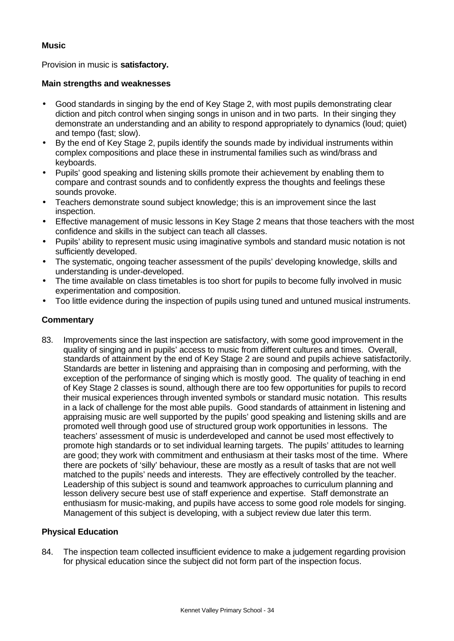# **Music**

Provision in music is **satisfactory.**

# **Main strengths and weaknesses**

- Good standards in singing by the end of Key Stage 2, with most pupils demonstrating clear diction and pitch control when singing songs in unison and in two parts. In their singing they demonstrate an understanding and an ability to respond appropriately to dynamics (loud; quiet) and tempo (fast; slow).
- By the end of Key Stage 2, pupils identify the sounds made by individual instruments within complex compositions and place these in instrumental families such as wind/brass and keyboards.
- Pupils' good speaking and listening skills promote their achievement by enabling them to compare and contrast sounds and to confidently express the thoughts and feelings these sounds provoke.
- Teachers demonstrate sound subject knowledge; this is an improvement since the last inspection.
- Effective management of music lessons in Key Stage 2 means that those teachers with the most confidence and skills in the subject can teach all classes.
- Pupils' ability to represent music using imaginative symbols and standard music notation is not sufficiently developed.
- The systematic, ongoing teacher assessment of the pupils' developing knowledge, skills and understanding is under-developed.
- The time available on class timetables is too short for pupils to become fully involved in music experimentation and composition.
- Too little evidence during the inspection of pupils using tuned and untuned musical instruments.

# **Commentary**

83. Improvements since the last inspection are satisfactory, with some good improvement in the quality of singing and in pupils' access to music from different cultures and times. Overall, standards of attainment by the end of Key Stage 2 are sound and pupils achieve satisfactorily. Standards are better in listening and appraising than in composing and performing, with the exception of the performance of singing which is mostly good. The quality of teaching in end of Key Stage 2 classes is sound, although there are too few opportunities for pupils to record their musical experiences through invented symbols or standard music notation. This results in a lack of challenge for the most able pupils. Good standards of attainment in listening and appraising music are well supported by the pupils' good speaking and listening skills and are promoted well through good use of structured group work opportunities in lessons. The teachers' assessment of music is underdeveloped and cannot be used most effectively to promote high standards or to set individual learning targets. The pupils' attitudes to learning are good; they work with commitment and enthusiasm at their tasks most of the time. Where there are pockets of 'silly' behaviour, these are mostly as a result of tasks that are not well matched to the pupils' needs and interests. They are effectively controlled by the teacher. Leadership of this subject is sound and teamwork approaches to curriculum planning and lesson delivery secure best use of staff experience and expertise. Staff demonstrate an enthusiasm for music-making, and pupils have access to some good role models for singing. Management of this subject is developing, with a subject review due later this term.

# **Physical Education**

84. The inspection team collected insufficient evidence to make a judgement regarding provision for physical education since the subject did not form part of the inspection focus.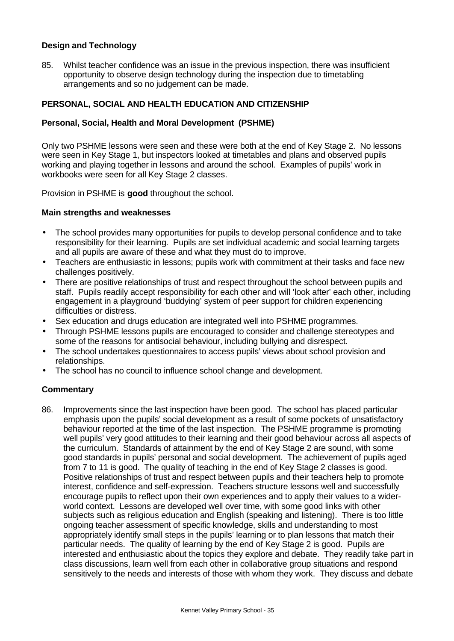# **Design and Technology**

85. Whilst teacher confidence was an issue in the previous inspection, there was insufficient opportunity to observe design technology during the inspection due to timetabling arrangements and so no judgement can be made.

# **PERSONAL, SOCIAL AND HEALTH EDUCATION AND CITIZENSHIP**

### **Personal, Social, Health and Moral Development (PSHME)**

Only two PSHME lessons were seen and these were both at the end of Key Stage 2. No lessons were seen in Key Stage 1, but inspectors looked at timetables and plans and observed pupils working and playing together in lessons and around the school. Examples of pupils' work in workbooks were seen for all Key Stage 2 classes.

Provision in PSHME is **good** throughout the school.

#### **Main strengths and weaknesses**

- The school provides many opportunities for pupils to develop personal confidence and to take responsibility for their learning. Pupils are set individual academic and social learning targets and all pupils are aware of these and what they must do to improve.
- Teachers are enthusiastic in lessons; pupils work with commitment at their tasks and face new challenges positively.
- There are positive relationships of trust and respect throughout the school between pupils and staff. Pupils readily accept responsibility for each other and will 'look after' each other, including engagement in a playground 'buddying' system of peer support for children experiencing difficulties or distress.
- Sex education and drugs education are integrated well into PSHME programmes.
- Through PSHME lessons pupils are encouraged to consider and challenge stereotypes and some of the reasons for antisocial behaviour, including bullying and disrespect.
- The school undertakes questionnaires to access pupils' views about school provision and relationships.
- The school has no council to influence school change and development.

# **Commentary**

86. Improvements since the last inspection have been good. The school has placed particular emphasis upon the pupils' social development as a result of some pockets of unsatisfactory behaviour reported at the time of the last inspection. The PSHME programme is promoting well pupils' very good attitudes to their learning and their good behaviour across all aspects of the curriculum. Standards of attainment by the end of Key Stage 2 are sound, with some good standards in pupils' personal and social development. The achievement of pupils aged from 7 to 11 is good. The quality of teaching in the end of Key Stage 2 classes is good. Positive relationships of trust and respect between pupils and their teachers help to promote interest, confidence and self-expression. Teachers structure lessons well and successfully encourage pupils to reflect upon their own experiences and to apply their values to a widerworld context. Lessons are developed well over time, with some good links with other subjects such as religious education and English (speaking and listening). There is too little ongoing teacher assessment of specific knowledge, skills and understanding to most appropriately identify small steps in the pupils' learning or to plan lessons that match their particular needs. The quality of learning by the end of Key Stage 2 is good. Pupils are interested and enthusiastic about the topics they explore and debate. They readily take part in class discussions, learn well from each other in collaborative group situations and respond sensitively to the needs and interests of those with whom they work. They discuss and debate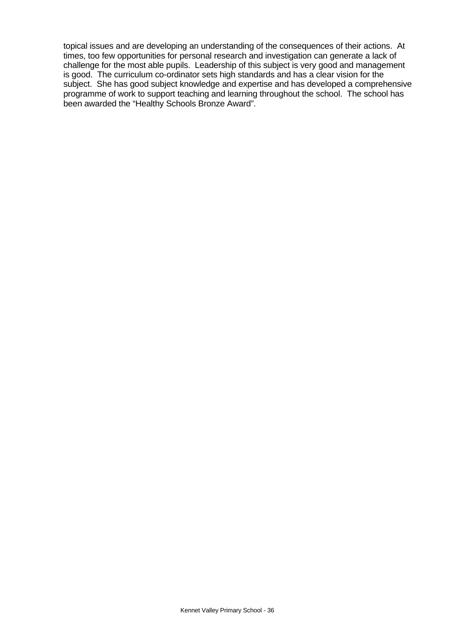topical issues and are developing an understanding of the consequences of their actions. At times, too few opportunities for personal research and investigation can generate a lack of challenge for the most able pupils. Leadership of this subject is very good and management is good. The curriculum co-ordinator sets high standards and has a clear vision for the subject. She has good subject knowledge and expertise and has developed a comprehensive programme of work to support teaching and learning throughout the school. The school has been awarded the "Healthy Schools Bronze Award".